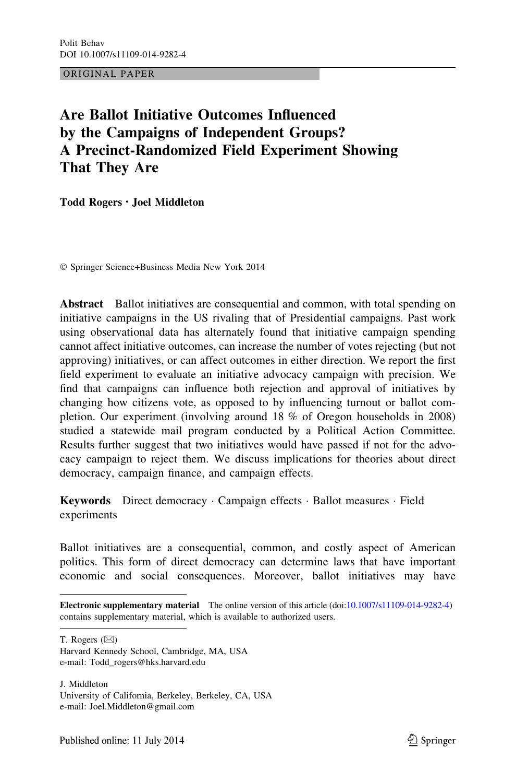ORIGINAL PAPER

# Are Ballot Initiative Outcomes Influenced by the Campaigns of Independent Groups? A Precinct-Randomized Field Experiment Showing That They Are

Todd Rogers • Joel Middleton

- Springer Science+Business Media New York 2014

Abstract Ballot initiatives are consequential and common, with total spending on initiative campaigns in the US rivaling that of Presidential campaigns. Past work using observational data has alternately found that initiative campaign spending cannot affect initiative outcomes, can increase the number of votes rejecting (but not approving) initiatives, or can affect outcomes in either direction. We report the first field experiment to evaluate an initiative advocacy campaign with precision. We find that campaigns can influence both rejection and approval of initiatives by changing how citizens vote, as opposed to by influencing turnout or ballot completion. Our experiment (involving around 18 % of Oregon households in 2008) studied a statewide mail program conducted by a Political Action Committee. Results further suggest that two initiatives would have passed if not for the advocacy campaign to reject them. We discuss implications for theories about direct democracy, campaign finance, and campaign effects.

Keywords Direct democracy · Campaign effects · Ballot measures · Field experiments

Ballot initiatives are a consequential, common, and costly aspect of American politics. This form of direct democracy can determine laws that have important economic and social consequences. Moreover, ballot initiatives may have

T. Rogers  $(\boxtimes)$ 

J. Middleton University of California, Berkeley, Berkeley, CA, USA e-mail: Joel.Middleton@gmail.com

Electronic supplementary material The online version of this article (doi[:10.1007/s11109-014-9282-4\)](http://dx.doi.org/10.1007/s11109-014-9282-4) contains supplementary material, which is available to authorized users.

Harvard Kennedy School, Cambridge, MA, USA e-mail: Todd\_rogers@hks.harvard.edu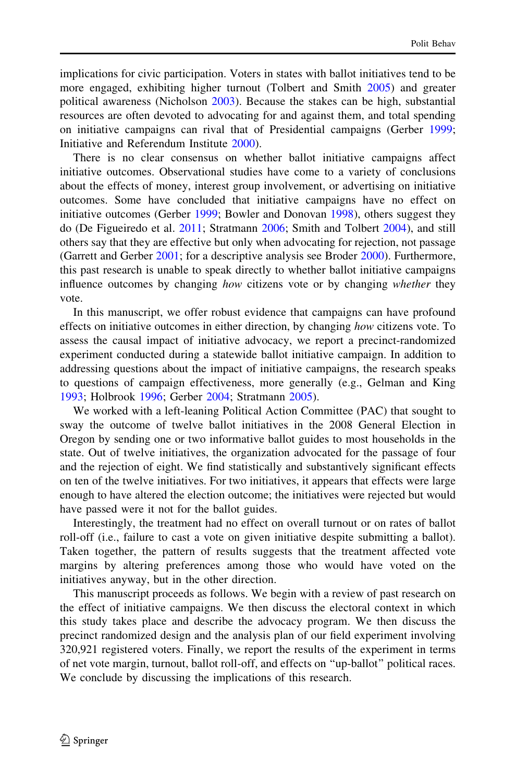implications for civic participation. Voters in states with ballot initiatives tend to be more engaged, exhibiting higher turnout (Tolbert and Smith [2005\)](#page-26-0) and greater political awareness (Nicholson [2003](#page-26-0)). Because the stakes can be high, substantial resources are often devoted to advocating for and against them, and total spending on initiative campaigns can rival that of Presidential campaigns (Gerber [1999;](#page-25-0) Initiative and Referendum Institute [2000](#page-25-0)).

There is no clear consensus on whether ballot initiative campaigns affect initiative outcomes. Observational studies have come to a variety of conclusions about the effects of money, interest group involvement, or advertising on initiative outcomes. Some have concluded that initiative campaigns have no effect on initiative outcomes (Gerber [1999;](#page-25-0) Bowler and Donovan [1998](#page-25-0)), others suggest they do (De Figueiredo et al. [2011;](#page-25-0) Stratmann [2006;](#page-26-0) Smith and Tolbert [2004\)](#page-26-0), and still others say that they are effective but only when advocating for rejection, not passage (Garrett and Gerber [2001;](#page-25-0) for a descriptive analysis see Broder [2000](#page-25-0)). Furthermore, this past research is unable to speak directly to whether ballot initiative campaigns influence outcomes by changing how citizens vote or by changing whether they vote.

In this manuscript, we offer robust evidence that campaigns can have profound effects on initiative outcomes in either direction, by changing how citizens vote. To assess the causal impact of initiative advocacy, we report a precinct-randomized experiment conducted during a statewide ballot initiative campaign. In addition to addressing questions about the impact of initiative campaigns, the research speaks to questions of campaign effectiveness, more generally (e.g., Gelman and King [1993;](#page-25-0) Holbrook [1996;](#page-25-0) Gerber [2004;](#page-25-0) Stratmann [2005](#page-26-0)).

We worked with a left-leaning Political Action Committee (PAC) that sought to sway the outcome of twelve ballot initiatives in the 2008 General Election in Oregon by sending one or two informative ballot guides to most households in the state. Out of twelve initiatives, the organization advocated for the passage of four and the rejection of eight. We find statistically and substantively significant effects on ten of the twelve initiatives. For two initiatives, it appears that effects were large enough to have altered the election outcome; the initiatives were rejected but would have passed were it not for the ballot guides.

Interestingly, the treatment had no effect on overall turnout or on rates of ballot roll-off (i.e., failure to cast a vote on given initiative despite submitting a ballot). Taken together, the pattern of results suggests that the treatment affected vote margins by altering preferences among those who would have voted on the initiatives anyway, but in the other direction.

This manuscript proceeds as follows. We begin with a review of past research on the effect of initiative campaigns. We then discuss the electoral context in which this study takes place and describe the advocacy program. We then discuss the precinct randomized design and the analysis plan of our field experiment involving 320,921 registered voters. Finally, we report the results of the experiment in terms of net vote margin, turnout, ballot roll-off, and effects on ''up-ballot'' political races. We conclude by discussing the implications of this research.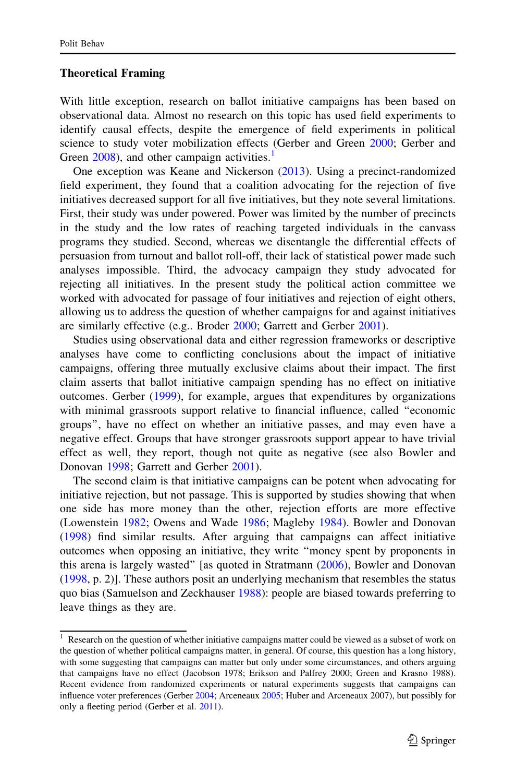#### Theoretical Framing

With little exception, research on ballot initiative campaigns has been based on observational data. Almost no research on this topic has used field experiments to identify causal effects, despite the emergence of field experiments in political science to study voter mobilization effects (Gerber and Green [2000](#page-25-0); Gerber and Green [2008\)](#page-25-0), and other campaign activities.<sup>1</sup>

One exception was Keane and Nickerson [\(2013](#page-25-0)). Using a precinct-randomized field experiment, they found that a coalition advocating for the rejection of five initiatives decreased support for all five initiatives, but they note several limitations. First, their study was under powered. Power was limited by the number of precincts in the study and the low rates of reaching targeted individuals in the canvass programs they studied. Second, whereas we disentangle the differential effects of persuasion from turnout and ballot roll-off, their lack of statistical power made such analyses impossible. Third, the advocacy campaign they study advocated for rejecting all initiatives. In the present study the political action committee we worked with advocated for passage of four initiatives and rejection of eight others, allowing us to address the question of whether campaigns for and against initiatives are similarly effective (e.g.. Broder [2000;](#page-25-0) Garrett and Gerber [2001](#page-25-0)).

Studies using observational data and either regression frameworks or descriptive analyses have come to conflicting conclusions about the impact of initiative campaigns, offering three mutually exclusive claims about their impact. The first claim asserts that ballot initiative campaign spending has no effect on initiative outcomes. Gerber ([1999\)](#page-25-0), for example, argues that expenditures by organizations with minimal grassroots support relative to financial influence, called ''economic groups'', have no effect on whether an initiative passes, and may even have a negative effect. Groups that have stronger grassroots support appear to have trivial effect as well, they report, though not quite as negative (see also Bowler and Donovan [1998;](#page-25-0) Garrett and Gerber [2001\)](#page-25-0).

The second claim is that initiative campaigns can be potent when advocating for initiative rejection, but not passage. This is supported by studies showing that when one side has more money than the other, rejection efforts are more effective (Lowenstein [1982](#page-25-0); Owens and Wade [1986](#page-26-0); Magleby [1984\)](#page-25-0). Bowler and Donovan [\(1998](#page-25-0)) find similar results. After arguing that campaigns can affect initiative outcomes when opposing an initiative, they write ''money spent by proponents in this arena is largely wasted'' [as quoted in Stratmann [\(2006](#page-26-0)), Bowler and Donovan [\(1998](#page-25-0), p. 2)]. These authors posit an underlying mechanism that resembles the status quo bias (Samuelson and Zeckhauser [1988\)](#page-26-0): people are biased towards preferring to leave things as they are.

 $1$  Research on the question of whether initiative campaigns matter could be viewed as a subset of work on the question of whether political campaigns matter, in general. Of course, this question has a long history, with some suggesting that campaigns can matter but only under some circumstances, and others arguing that campaigns have no effect (Jacobson 1978; Erikson and Palfrey 2000; Green and Krasno 1988). Recent evidence from randomized experiments or natural experiments suggests that campaigns can influence voter preferences (Gerber [2004](#page-25-0); Arceneaux [2005](#page-25-0); Huber and Arceneaux 2007), but possibly for only a fleeting period (Gerber et al. [2011\)](#page-25-0).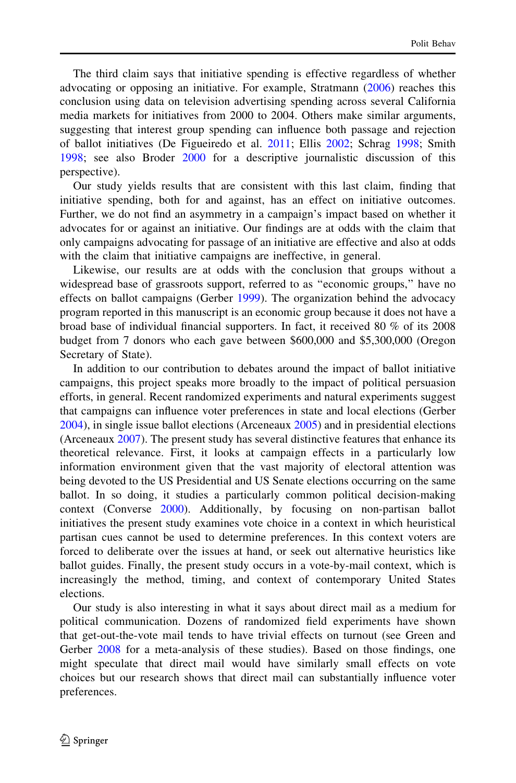The third claim says that initiative spending is effective regardless of whether advocating or opposing an initiative. For example, Stratmann ([2006\)](#page-26-0) reaches this conclusion using data on television advertising spending across several California media markets for initiatives from 2000 to 2004. Others make similar arguments, suggesting that interest group spending can influence both passage and rejection of ballot initiatives (De Figueiredo et al. [2011;](#page-25-0) Ellis [2002;](#page-25-0) Schrag [1998](#page-26-0); Smith [1998;](#page-26-0) see also Broder [2000](#page-25-0) for a descriptive journalistic discussion of this perspective).

Our study yields results that are consistent with this last claim, finding that initiative spending, both for and against, has an effect on initiative outcomes. Further, we do not find an asymmetry in a campaign's impact based on whether it advocates for or against an initiative. Our findings are at odds with the claim that only campaigns advocating for passage of an initiative are effective and also at odds with the claim that initiative campaigns are ineffective, in general.

Likewise, our results are at odds with the conclusion that groups without a widespread base of grassroots support, referred to as ''economic groups,'' have no effects on ballot campaigns (Gerber [1999\)](#page-25-0). The organization behind the advocacy program reported in this manuscript is an economic group because it does not have a broad base of individual financial supporters. In fact, it received 80 % of its 2008 budget from 7 donors who each gave between \$600,000 and \$5,300,000 (Oregon Secretary of State).

In addition to our contribution to debates around the impact of ballot initiative campaigns, this project speaks more broadly to the impact of political persuasion efforts, in general. Recent randomized experiments and natural experiments suggest that campaigns can influence voter preferences in state and local elections (Gerber [2004\)](#page-25-0), in single issue ballot elections (Arceneaux [2005\)](#page-25-0) and in presidential elections (Arceneaux [2007](#page-25-0)). The present study has several distinctive features that enhance its theoretical relevance. First, it looks at campaign effects in a particularly low information environment given that the vast majority of electoral attention was being devoted to the US Presidential and US Senate elections occurring on the same ballot. In so doing, it studies a particularly common political decision-making context (Converse [2000\)](#page-25-0). Additionally, by focusing on non-partisan ballot initiatives the present study examines vote choice in a context in which heuristical partisan cues cannot be used to determine preferences. In this context voters are forced to deliberate over the issues at hand, or seek out alternative heuristics like ballot guides. Finally, the present study occurs in a vote-by-mail context, which is increasingly the method, timing, and context of contemporary United States elections.

Our study is also interesting in what it says about direct mail as a medium for political communication. Dozens of randomized field experiments have shown that get-out-the-vote mail tends to have trivial effects on turnout (see Green and Gerber [2008](#page-25-0) for a meta-analysis of these studies). Based on those findings, one might speculate that direct mail would have similarly small effects on vote choices but our research shows that direct mail can substantially influence voter preferences.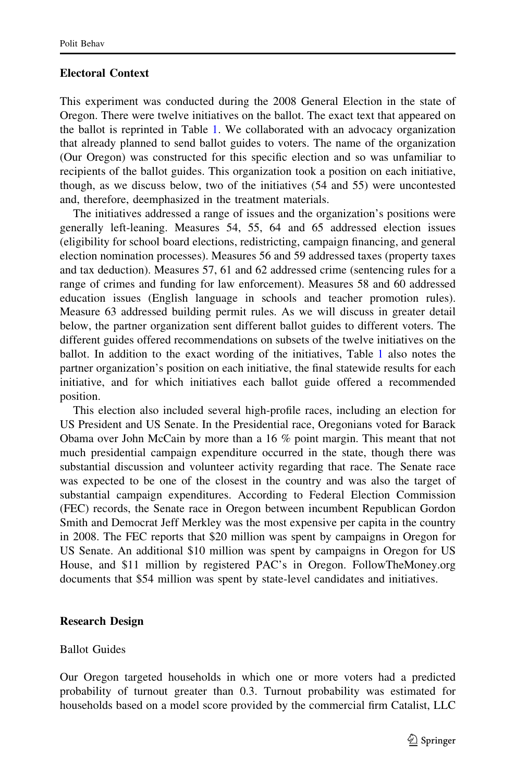## Electoral Context

This experiment was conducted during the 2008 General Election in the state of Oregon. There were twelve initiatives on the ballot. The exact text that appeared on the ballot is reprinted in Table [1.](#page-5-0) We collaborated with an advocacy organization that already planned to send ballot guides to voters. The name of the organization (Our Oregon) was constructed for this specific election and so was unfamiliar to recipients of the ballot guides. This organization took a position on each initiative, though, as we discuss below, two of the initiatives (54 and 55) were uncontested and, therefore, deemphasized in the treatment materials.

The initiatives addressed a range of issues and the organization's positions were generally left-leaning. Measures 54, 55, 64 and 65 addressed election issues (eligibility for school board elections, redistricting, campaign financing, and general election nomination processes). Measures 56 and 59 addressed taxes (property taxes and tax deduction). Measures 57, 61 and 62 addressed crime (sentencing rules for a range of crimes and funding for law enforcement). Measures 58 and 60 addressed education issues (English language in schools and teacher promotion rules). Measure 63 addressed building permit rules. As we will discuss in greater detail below, the partner organization sent different ballot guides to different voters. The different guides offered recommendations on subsets of the twelve initiatives on the ballot. In addition to the exact wording of the initiatives, Table [1](#page-5-0) also notes the partner organization's position on each initiative, the final statewide results for each initiative, and for which initiatives each ballot guide offered a recommended position.

This election also included several high-profile races, including an election for US President and US Senate. In the Presidential race, Oregonians voted for Barack Obama over John McCain by more than a 16 % point margin. This meant that not much presidential campaign expenditure occurred in the state, though there was substantial discussion and volunteer activity regarding that race. The Senate race was expected to be one of the closest in the country and was also the target of substantial campaign expenditures. According to Federal Election Commission (FEC) records, the Senate race in Oregon between incumbent Republican Gordon Smith and Democrat Jeff Merkley was the most expensive per capita in the country in 2008. The FEC reports that \$20 million was spent by campaigns in Oregon for US Senate. An additional \$10 million was spent by campaigns in Oregon for US House, and \$11 million by registered PAC's in Oregon. FollowTheMoney.org documents that \$54 million was spent by state-level candidates and initiatives.

#### Research Design

## Ballot Guides

Our Oregon targeted households in which one or more voters had a predicted probability of turnout greater than 0.3. Turnout probability was estimated for households based on a model score provided by the commercial firm Catalist, LLC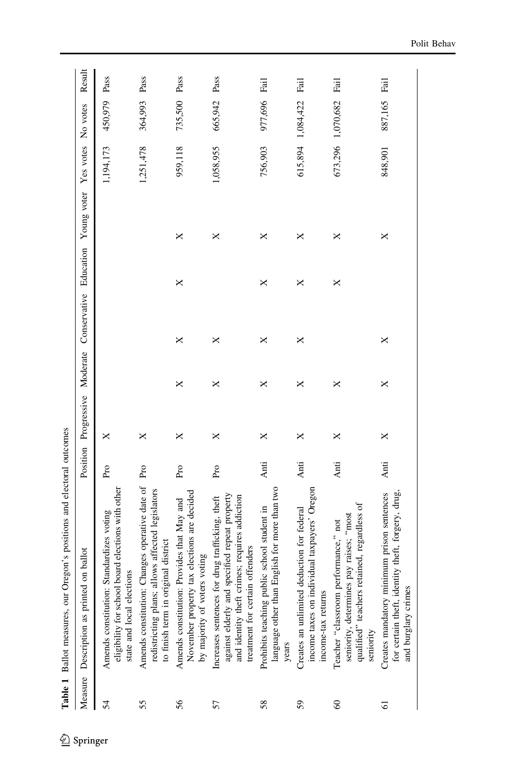<span id="page-5-0"></span>

|                | Oregon's positions and electoral outcomes<br>Table 1 Ballot measures, our                                                                                                            |          |             |          |                        |   |             |           |                   |        |
|----------------|--------------------------------------------------------------------------------------------------------------------------------------------------------------------------------------|----------|-------------|----------|------------------------|---|-------------|-----------|-------------------|--------|
| Measure        | Description as printed on ballot                                                                                                                                                     | Position | Progressive | Moderate | Conservative Education |   | Young voter | Yes votes | No votes          | Result |
| 54             | eligibility for school board elections with other<br>Amends constitution: Standardizes voting<br>state and local elections                                                           | Pro      | ×           |          |                        |   |             | 1,194,173 | 450,979           | Pass   |
| 55             | Amends constitution: Changes operative date of Pro<br>redistricting plans; allows affected legislators<br>to finish term in original district                                        |          | ×           |          |                        |   |             | 1,251,478 | 364,993 Pass      |        |
| 56             | November property tax elections are decided<br>Amends constitution: Provides that May and<br>by majority of voters voting                                                            | Pro      | ×           | ×        | ×                      | × | ×           | 959,118   | 735,500 Pass      |        |
| 57             | against elderly and specified repeat property<br>and identity theft crimes; requires addiction<br>Increases sentences for drug trafficking, theft<br>treatment for certain offenders | Pro      | ×           | ×        | ×                      |   | ×           | 1,058,955 | 665,942           | Pass   |
| 58             | language other than English for more than two<br>Prohibits teaching public school student in<br>years                                                                                | Anti     | ×           | ×        | ×                      | × | ×           | 756,903   | 977,696 Fail      |        |
| 59             | ndividual taxpayers' Oregon<br>Creates an unlimited deduction for federal<br>income-tax returns<br>income taxes on i                                                                 | Anti     | ×           | ×        | ×                      | × | ×           |           | 615,894 1,084,422 | Fail   |
| 60             | qualified" teachers retained, regardless of<br>nes pay raises; "most<br>Teacher "classroom performance," not<br>seniority, determin<br>seniority                                     | Anti     | ×           | ×        |                        | × | ×           |           | 673,296 1,070,682 | Fail   |
| $\overline{6}$ | identity theft, forgery, drug,<br>minimum prison sentences<br>and burglary crimes<br>for certain theft, i<br>Creates mandatory                                                       | Anti     | ×           | ×        | ×                      |   | ×           | 848,901   | 887,165           | Fail   |

 $\underline{\textcircled{\tiny 2}}$  Springer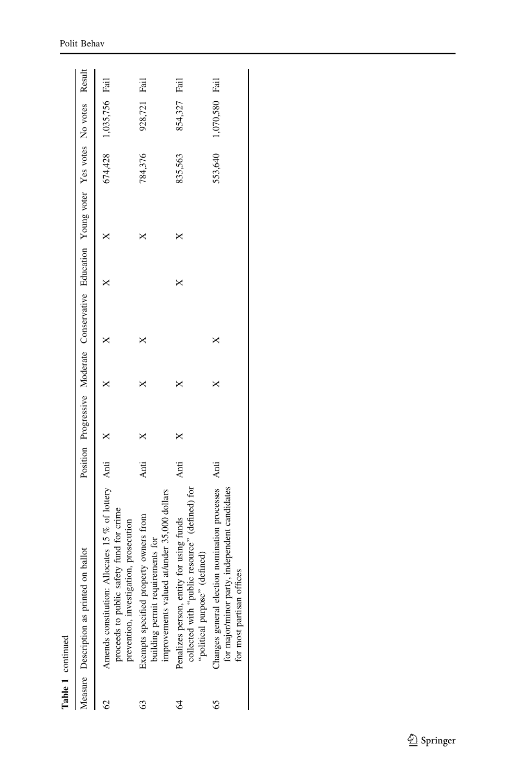|    | Table 1 continued                                                                                                                           |      |  |                                                                                            |  |                        |              |  |
|----|---------------------------------------------------------------------------------------------------------------------------------------------|------|--|--------------------------------------------------------------------------------------------|--|------------------------|--------------|--|
|    | Measure Description as printed on ballot                                                                                                    |      |  | Position Progressive Moderate Conservative Education Young voter Yes votes No votes Result |  |                        |              |  |
|    | Amends constitution: Allocates 15 $%$ of lottery Anti<br>proceeds to public safety fund for crime<br>prevention, investigation, prosecution |      |  |                                                                                            |  | 674,428 1,035,756 Fail |              |  |
|    | improvements valued at/under 35,000 dollars<br>Exempts specified property owners from<br>building permit requirements for                   | Anti |  |                                                                                            |  | 784,376                | 928,721 Fail |  |
|    | collected with "public resource" (defined) for<br>Penalizes person, entity for using funds<br>"political purpose" (defined)                 | Anti |  |                                                                                            |  | 835,563                | 854,327 Fail |  |
| 65 | Changes general election nomination processes Anti<br>for major/minor party, independent candidates<br>for most partisan offices            |      |  | ×                                                                                          |  | 553,640 1,070,580 Fail |              |  |

Polit Behav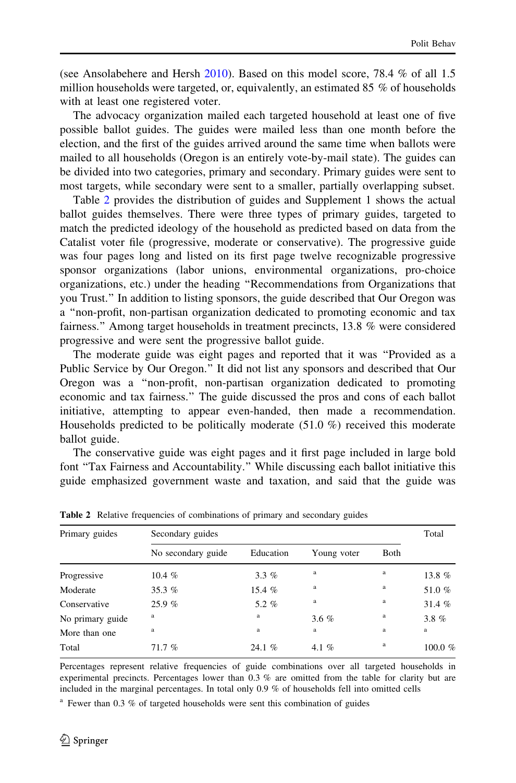(see Ansolabehere and Hersh [2010](#page-25-0)). Based on this model score, 78.4 % of all 1.5 million households were targeted, or, equivalently, an estimated 85 % of households with at least one registered voter.

The advocacy organization mailed each targeted household at least one of five possible ballot guides. The guides were mailed less than one month before the election, and the first of the guides arrived around the same time when ballots were mailed to all households (Oregon is an entirely vote-by-mail state). The guides can be divided into two categories, primary and secondary. Primary guides were sent to most targets, while secondary were sent to a smaller, partially overlapping subset.

Table 2 provides the distribution of guides and Supplement 1 shows the actual ballot guides themselves. There were three types of primary guides, targeted to match the predicted ideology of the household as predicted based on data from the Catalist voter file (progressive, moderate or conservative). The progressive guide was four pages long and listed on its first page twelve recognizable progressive sponsor organizations (labor unions, environmental organizations, pro-choice organizations, etc.) under the heading ''Recommendations from Organizations that you Trust.'' In addition to listing sponsors, the guide described that Our Oregon was a ''non-profit, non-partisan organization dedicated to promoting economic and tax fairness.'' Among target households in treatment precincts, 13.8 % were considered progressive and were sent the progressive ballot guide.

The moderate guide was eight pages and reported that it was ''Provided as a Public Service by Our Oregon.'' It did not list any sponsors and described that Our Oregon was a ''non-profit, non-partisan organization dedicated to promoting economic and tax fairness.'' The guide discussed the pros and cons of each ballot initiative, attempting to appear even-handed, then made a recommendation. Households predicted to be politically moderate (51.0 %) received this moderate ballot guide.

The conservative guide was eight pages and it first page included in large bold font ''Tax Fairness and Accountability.'' While discussing each ballot initiative this guide emphasized government waste and taxation, and said that the guide was

| Primary guides   | Secondary guides   |           |             |              | Total     |
|------------------|--------------------|-----------|-------------|--------------|-----------|
|                  | No secondary guide | Education | Young voter | <b>B</b> oth |           |
| Progressive      | 10.4 $%$           | $3.3\%$   | a           | a            | 13.8%     |
| Moderate         | 35.3 $%$           | 15.4%     | a           | a            | 51.0%     |
| Conservative     | 25.9%              | 5.2%      | a           | a            | 31.4%     |
| No primary guide | a                  | $\rm{a}$  | 3.6%        | a            | $3.8 \%$  |
| More than one    | a                  | $\rm{a}$  | a           | a            | a         |
| Total            | 71.7%              | 24.1%     | 4.1 $%$     | a            | 100.0 $%$ |

Table 2 Relative frequencies of combinations of primary and secondary guides

Percentages represent relative frequencies of guide combinations over all targeted households in experimental precincts. Percentages lower than 0.3 % are omitted from the table for clarity but are included in the marginal percentages. In total only 0.9 % of households fell into omitted cells

<sup>a</sup> Fewer than 0.3 % of targeted households were sent this combination of guides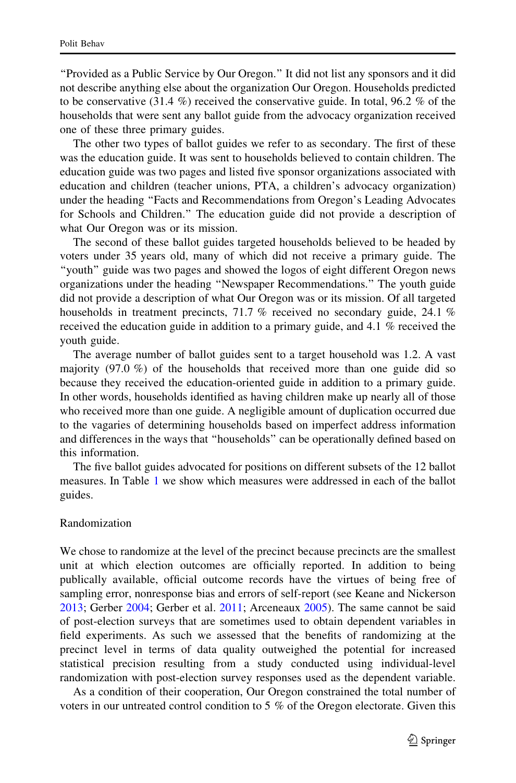''Provided as a Public Service by Our Oregon.'' It did not list any sponsors and it did not describe anything else about the organization Our Oregon. Households predicted to be conservative (31.4 %) received the conservative guide. In total, 96.2 % of the households that were sent any ballot guide from the advocacy organization received one of these three primary guides.

The other two types of ballot guides we refer to as secondary. The first of these was the education guide. It was sent to households believed to contain children. The education guide was two pages and listed five sponsor organizations associated with education and children (teacher unions, PTA, a children's advocacy organization) under the heading ''Facts and Recommendations from Oregon's Leading Advocates for Schools and Children.'' The education guide did not provide a description of what Our Oregon was or its mission.

The second of these ballot guides targeted households believed to be headed by voters under 35 years old, many of which did not receive a primary guide. The ''youth'' guide was two pages and showed the logos of eight different Oregon news organizations under the heading ''Newspaper Recommendations.'' The youth guide did not provide a description of what Our Oregon was or its mission. Of all targeted households in treatment precincts, 71.7 % received no secondary guide, 24.1 % received the education guide in addition to a primary guide, and 4.1 % received the youth guide.

The average number of ballot guides sent to a target household was 1.2. A vast majority  $(97.0\%)$  of the households that received more than one guide did so because they received the education-oriented guide in addition to a primary guide. In other words, households identified as having children make up nearly all of those who received more than one guide. A negligible amount of duplication occurred due to the vagaries of determining households based on imperfect address information and differences in the ways that ''households'' can be operationally defined based on this information.

The five ballot guides advocated for positions on different subsets of the 12 ballot measures. In Table [1](#page-5-0) we show which measures were addressed in each of the ballot guides.

# Randomization

We chose to randomize at the level of the precinct because precincts are the smallest unit at which election outcomes are officially reported. In addition to being publically available, official outcome records have the virtues of being free of sampling error, nonresponse bias and errors of self-report (see Keane and Nickerson [2013;](#page-25-0) Gerber [2004;](#page-25-0) Gerber et al. [2011](#page-25-0); Arceneaux [2005](#page-25-0)). The same cannot be said of post-election surveys that are sometimes used to obtain dependent variables in field experiments. As such we assessed that the benefits of randomizing at the precinct level in terms of data quality outweighed the potential for increased statistical precision resulting from a study conducted using individual-level randomization with post-election survey responses used as the dependent variable.

As a condition of their cooperation, Our Oregon constrained the total number of voters in our untreated control condition to 5 % of the Oregon electorate. Given this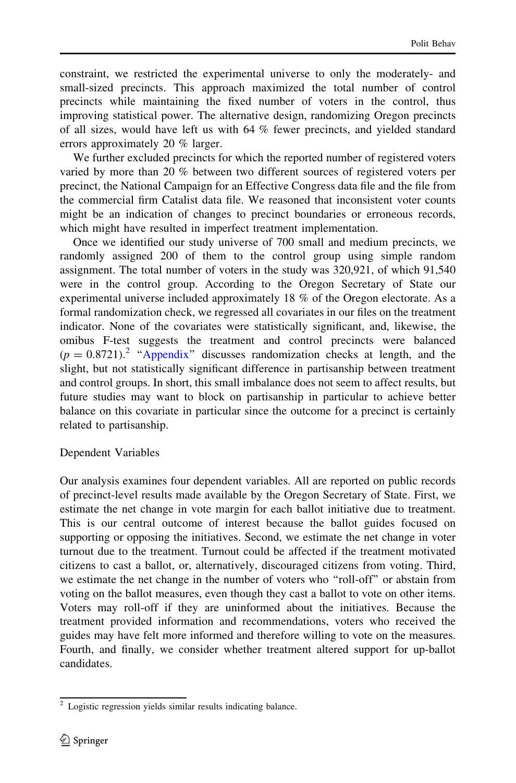constraint, we restricted the experimental universe to only the moderately- and small-sized precincts. This approach maximized the total number of control precincts while maintaining the fixed number of voters in the control, thus improving statistical power. The alternative design, randomizing Oregon precincts of all sizes, would have left us with 64 % fewer precincts, and yielded standard errors approximately 20 % larger.

We further excluded precincts for which the reported number of registered voters varied by more than 20 % between two different sources of registered voters per precinct, the National Campaign for an Effective Congress data file and the file from the commercial firm Catalist data file. We reasoned that inconsistent voter counts might be an indication of changes to precinct boundaries or erroneous records, which might have resulted in imperfect treatment implementation.

Once we identified our study universe of 700 small and medium precincts, we randomly assigned 200 of them to the control group using simple random assignment. The total number of voters in the study was 320,921, of which 91,540 were in the control group. According to the Oregon Secretary of State our experimental universe included approximately 18 % of the Oregon electorate. As a formal randomization check, we regressed all covariates in our files on the treatment indicator. None of the covariates were statistically significant, and, likewise, the omibus F-test suggests the treatment and control precincts were balanced  $(p = 0.8721)^2$  "[Appendix](#page-17-0)" discusses randomization checks at length, and the slight, but not statistically significant difference in partisanship between treatment and control groups. In short, this small imbalance does not seem to affect results, but future studies may want to block on partisanship in particular to achieve better balance on this covariate in particular since the outcome for a precinct is certainly related to partisanship.

# Dependent Variables

Our analysis examines four dependent variables. All are reported on public records of precinct-level results made available by the Oregon Secretary of State. First, we estimate the net change in vote margin for each ballot initiative due to treatment. This is our central outcome of interest because the ballot guides focused on supporting or opposing the initiatives. Second, we estimate the net change in voter turnout due to the treatment. Turnout could be affected if the treatment motivated citizens to cast a ballot, or, alternatively, discouraged citizens from voting. Third, we estimate the net change in the number of voters who ''roll-off'' or abstain from voting on the ballot measures, even though they cast a ballot to vote on other items. Voters may roll-off if they are uninformed about the initiatives. Because the treatment provided information and recommendations, voters who received the guides may have felt more informed and therefore willing to vote on the measures. Fourth, and finally, we consider whether treatment altered support for up-ballot candidates.

<sup>2</sup> Logistic regression yields similar results indicating balance.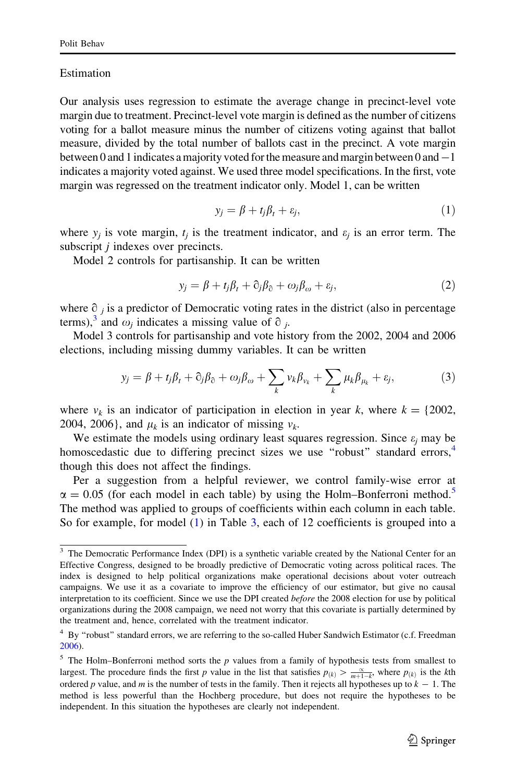## Estimation

Our analysis uses regression to estimate the average change in precinct-level vote margin due to treatment. Precinct-level vote margin is defined as the number of citizens voting for a ballot measure minus the number of citizens voting against that ballot measure, divided by the total number of ballots cast in the precinct. A vote margin between 0 and 1 indicates a majority voted for the measure and margin between 0 and-1 indicates a majority voted against. We used three model specifications. In the first, vote margin was regressed on the treatment indicator only. Model 1, can be written

$$
y_j = \beta + t_j \beta_t + \varepsilon_j,\tag{1}
$$

where  $y_i$  is vote margin,  $t_i$  is the treatment indicator, and  $\varepsilon_i$  is an error term. The subscript *i* indexes over precincts.

Model 2 controls for partisanship. It can be written

$$
y_j = \beta + t_j \beta_t + \partial_j \beta_\partial + \omega_j \beta_\omega + \varepsilon_j,\tag{2}
$$

where  $\partial_i$  is a predictor of Democratic voting rates in the district (also in percentage terms),<sup>3</sup> and  $\omega_i$  indicates a missing value of  $\partial_i$ .

Model 3 controls for partisanship and vote history from the 2002, 2004 and 2006 elections, including missing dummy variables. It can be written

$$
y_j = \beta + t_j \beta_t + \partial_j \beta_\partial + \omega_j \beta_\omega + \sum_k v_k \beta_{v_k} + \sum_k \mu_k \beta_{\mu_k} + \varepsilon_j,\tag{3}
$$

where  $v_k$  is an indicator of participation in election in year k, where  $k = \{2002,$ 2004, 2006}, and  $\mu_k$  is an indicator of missing  $v_k$ .

We estimate the models using ordinary least squares regression. Since  $\varepsilon_i$  may be homoscedastic due to differing precinct sizes we use "robust" standard errors,<sup>4</sup> though this does not affect the findings.

Per a suggestion from a helpful reviewer, we control family-wise error at  $\alpha = 0.05$  (for each model in each table) by using the Holm–Bonferroni method.<sup>5</sup> The method was applied to groups of coefficients within each column in each table. So for example, for model (1) in Table [3,](#page-11-0) each of 12 coefficients is grouped into a

<sup>&</sup>lt;sup>3</sup> The Democratic Performance Index (DPI) is a synthetic variable created by the National Center for an Effective Congress, designed to be broadly predictive of Democratic voting across political races. The index is designed to help political organizations make operational decisions about voter outreach campaigns. We use it as a covariate to improve the efficiency of our estimator, but give no causal interpretation to its coefficient. Since we use the DPI created before the 2008 election for use by political organizations during the 2008 campaign, we need not worry that this covariate is partially determined by the treatment and, hence, correlated with the treatment indicator.

<sup>&</sup>lt;sup>4</sup> By "robust" standard errors, we are referring to the so-called Huber Sandwich Estimator (c.f. Freedman [2006\)](#page-25-0).

 $<sup>5</sup>$  The Holm–Bonferroni method sorts the p values from a family of hypothesis tests from smallest to</sup> largest. The procedure finds the first p value in the list that satisfies  $p_{(k)} > \frac{\alpha}{m+1-k}$ , where  $p_{(k)}$  is the kth ordered p value, and m is the number of tests in the family. Then it rejects all hypotheses up to  $k - 1$ . The method is less powerful than the Hochberg procedure, but does not require the hypotheses to be independent. In this situation the hypotheses are clearly not independent.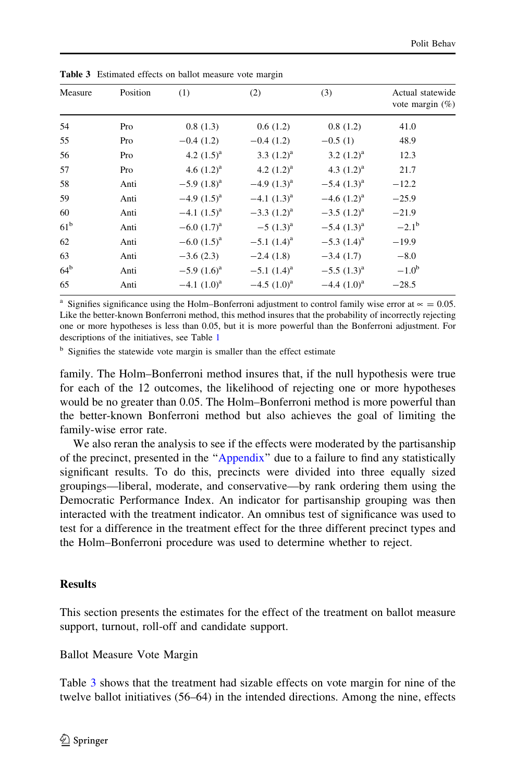| Measure         | Position | (1)                | (2)              | (3)                | Actual statewide<br>vote margin $(\%)$ |
|-----------------|----------|--------------------|------------------|--------------------|----------------------------------------|
| 54              | Pro      | 0.8(1.3)           | 0.6(1.2)         | 0.8(1.2)           | 41.0                                   |
| 55              | Pro      | $-0.4(1.2)$        | $-0.4(1.2)$      | $-0.5(1)$          | 48.9                                   |
| 56              | Pro      | 4.2 $(1.5)^a$      | 3.3 $(1.2)^a$    | 3.2 $(1.2)^a$      | 12.3                                   |
| 57              | Pro      | 4.6 $(1.2)^a$      | 4.2 $(1.2)^a$    | 4.3 $(1.2)^a$      | 21.7                                   |
| 58              | Anti     | $-5.9$ $(1.8)^a$   | $-4.9(1.3)^{a}$  | $-5.4$ $(1.3)^a$   | $-12.2$                                |
| 59              | Anti     | $-4.9(1.5)^{a}$    | $-4.1$ $(1.3)^a$ | $-4.6$ $(1.2)^a$   | $-25.9$                                |
| 60              | Anti     | $-4.1$ $(1.5)^a$   | $-3.3$ $(1.2)^a$ | $-3.5$ $(1.2)^a$   | $-21.9$                                |
| 61 <sup>b</sup> | Anti     | $-6.0$ $(1.7)^a$   | $-5(1.3)^{a}$    | $-5.4$ $(1.3)^{a}$ | $-2.1^{\rm b}$                         |
| 62              | Anti     | $-6.0$ $(1.5)^{a}$ | $-5.1$ $(1.4)^a$ | $-5.3$ $(1.4)^a$   | $-19.9$                                |
| 63              | Anti     | $-3.6(2.3)$        | $-2.4(1.8)$      | $-3.4(1.7)$        | $-8.0$                                 |
| 64 <sup>b</sup> | Anti     | $-5.9(1.6)^a$      | $-5.1$ $(1.4)^a$ | $-5.5$ $(1.3)^a$   | $-1.0b$                                |
| 65              | Anti     | $-4.1$ $(1.0)^a$   | $-4.5$ $(1.0)^a$ | $-4.4$ $(1.0)^a$   | $-28.5$                                |
|                 |          |                    |                  |                    |                                        |

<span id="page-11-0"></span>Table 3 Estimated effects on ballot measure vote margin

<sup>a</sup> Signifies significance using the Holm–Bonferroni adjustment to control family wise error at  $\approx$  = 0.05. Like the better-known Bonferroni method, this method insures that the probability of incorrectly rejecting one or more hypotheses is less than 0.05, but it is more powerful than the Bonferroni adjustment. For descriptions of the initiatives, see Table [1](#page-5-0)

<sup>b</sup> Signifies the statewide vote margin is smaller than the effect estimate

family. The Holm–Bonferroni method insures that, if the null hypothesis were true for each of the 12 outcomes, the likelihood of rejecting one or more hypotheses would be no greater than 0.05. The Holm–Bonferroni method is more powerful than the better-known Bonferroni method but also achieves the goal of limiting the family-wise error rate.

We also reran the analysis to see if the effects were moderated by the partisanship of the precinct, presented in the '['Appendix](#page-17-0)'' due to a failure to find any statistically significant results. To do this, precincts were divided into three equally sized groupings—liberal, moderate, and conservative—by rank ordering them using the Democratic Performance Index. An indicator for partisanship grouping was then interacted with the treatment indicator. An omnibus test of significance was used to test for a difference in the treatment effect for the three different precinct types and the Holm–Bonferroni procedure was used to determine whether to reject.

# **Results**

This section presents the estimates for the effect of the treatment on ballot measure support, turnout, roll-off and candidate support.

Ballot Measure Vote Margin

Table 3 shows that the treatment had sizable effects on vote margin for nine of the twelve ballot initiatives (56–64) in the intended directions. Among the nine, effects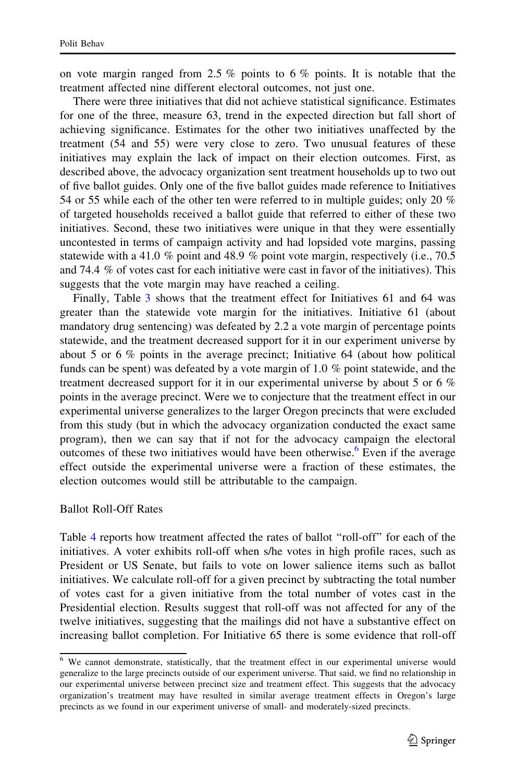on vote margin ranged from 2.5  $\%$  points to 6  $\%$  points. It is notable that the treatment affected nine different electoral outcomes, not just one.

There were three initiatives that did not achieve statistical significance. Estimates for one of the three, measure 63, trend in the expected direction but fall short of achieving significance. Estimates for the other two initiatives unaffected by the treatment (54 and 55) were very close to zero. Two unusual features of these initiatives may explain the lack of impact on their election outcomes. First, as described above, the advocacy organization sent treatment households up to two out of five ballot guides. Only one of the five ballot guides made reference to Initiatives 54 or 55 while each of the other ten were referred to in multiple guides; only 20 % of targeted households received a ballot guide that referred to either of these two initiatives. Second, these two initiatives were unique in that they were essentially uncontested in terms of campaign activity and had lopsided vote margins, passing statewide with a 41.0 % point and 48.9 % point vote margin, respectively (i.e., 70.5 and 74.4 % of votes cast for each initiative were cast in favor of the initiatives). This suggests that the vote margin may have reached a ceiling.

Finally, Table [3](#page-11-0) shows that the treatment effect for Initiatives 61 and 64 was greater than the statewide vote margin for the initiatives. Initiative 61 (about mandatory drug sentencing) was defeated by 2.2 a vote margin of percentage points statewide, and the treatment decreased support for it in our experiment universe by about 5 or 6 % points in the average precinct; Initiative 64 (about how political funds can be spent) was defeated by a vote margin of 1.0 % point statewide, and the treatment decreased support for it in our experimental universe by about 5 or 6 % points in the average precinct. Were we to conjecture that the treatment effect in our experimental universe generalizes to the larger Oregon precincts that were excluded from this study (but in which the advocacy organization conducted the exact same program), then we can say that if not for the advocacy campaign the electoral outcomes of these two initiatives would have been otherwise.<sup>6</sup> Even if the average effect outside the experimental universe were a fraction of these estimates, the election outcomes would still be attributable to the campaign.

#### Ballot Roll-Off Rates

Table [4](#page-13-0) reports how treatment affected the rates of ballot ''roll-off'' for each of the initiatives. A voter exhibits roll-off when s/he votes in high profile races, such as President or US Senate, but fails to vote on lower salience items such as ballot initiatives. We calculate roll-off for a given precinct by subtracting the total number of votes cast for a given initiative from the total number of votes cast in the Presidential election. Results suggest that roll-off was not affected for any of the twelve initiatives, suggesting that the mailings did not have a substantive effect on increasing ballot completion. For Initiative 65 there is some evidence that roll-off

<sup>&</sup>lt;sup>6</sup> We cannot demonstrate, statistically, that the treatment effect in our experimental universe would generalize to the large precincts outside of our experiment universe. That said, we find no relationship in our experimental universe between precinct size and treatment effect. This suggests that the advocacy organization's treatment may have resulted in similar average treatment effects in Oregon's large precincts as we found in our experiment universe of small- and moderately-sized precincts.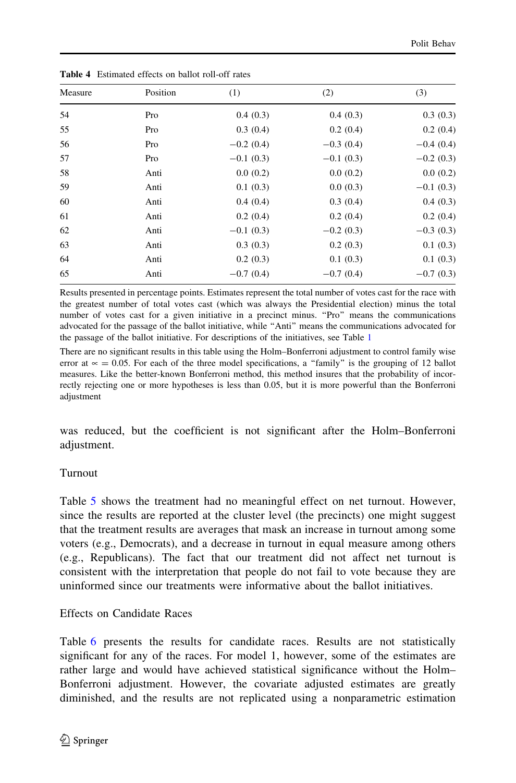| Measure | Position | (1)         | (2)         | (3)         |
|---------|----------|-------------|-------------|-------------|
| 54      | Pro      | 0.4(0.3)    | 0.4(0.3)    | 0.3(0.3)    |
| 55      | Pro      | 0.3(0.4)    | 0.2(0.4)    | 0.2(0.4)    |
| 56      | Pro      | $-0.2(0.4)$ | $-0.3(0.4)$ | $-0.4(0.4)$ |
| 57      | Pro      | $-0.1(0.3)$ | $-0.1(0.3)$ | $-0.2(0.3)$ |
| 58      | Anti     | 0.0(0.2)    | 0.0(0.2)    | 0.0(0.2)    |
| 59      | Anti     | 0.1(0.3)    | 0.0(0.3)    | $-0.1(0.3)$ |
| 60      | Anti     | 0.4(0.4)    | 0.3(0.4)    | 0.4(0.3)    |
| 61      | Anti     | 0.2(0.4)    | 0.2(0.4)    | 0.2(0.4)    |
| 62      | Anti     | $-0.1(0.3)$ | $-0.2(0.3)$ | $-0.3(0.3)$ |
| 63      | Anti     | 0.3(0.3)    | 0.2(0.3)    | 0.1(0.3)    |
| 64      | Anti     | 0.2(0.3)    | 0.1(0.3)    | 0.1(0.3)    |
| 65      | Anti     | $-0.7(0.4)$ | $-0.7(0.4)$ | $-0.7(0.3)$ |

<span id="page-13-0"></span>Table 4 Estimated effects on ballot roll-off rates

Results presented in percentage points. Estimates represent the total number of votes cast for the race with the greatest number of total votes cast (which was always the Presidential election) minus the total number of votes cast for a given initiative in a precinct minus. ''Pro'' means the communications advocated for the passage of the ballot initiative, while ''Anti'' means the communications advocated for the passage of the ballot initiative. For descriptions of the initiatives, see Table [1](#page-5-0)

There are no significant results in this table using the Holm–Bonferroni adjustment to control family wise error at  $\infty = 0.05$ . For each of the three model specifications, a "family" is the grouping of 12 ballot measures. Like the better-known Bonferroni method, this method insures that the probability of incorrectly rejecting one or more hypotheses is less than 0.05, but it is more powerful than the Bonferroni adjustment

was reduced, but the coefficient is not significant after the Holm–Bonferroni adjustment.

# Turnout

Table [5](#page-14-0) shows the treatment had no meaningful effect on net turnout. However, since the results are reported at the cluster level (the precincts) one might suggest that the treatment results are averages that mask an increase in turnout among some voters (e.g., Democrats), and a decrease in turnout in equal measure among others (e.g., Republicans). The fact that our treatment did not affect net turnout is consistent with the interpretation that people do not fail to vote because they are uninformed since our treatments were informative about the ballot initiatives.

# Effects on Candidate Races

Table [6](#page-14-0) presents the results for candidate races. Results are not statistically significant for any of the races. For model 1, however, some of the estimates are rather large and would have achieved statistical significance without the Holm– Bonferroni adjustment. However, the covariate adjusted estimates are greatly diminished, and the results are not replicated using a nonparametric estimation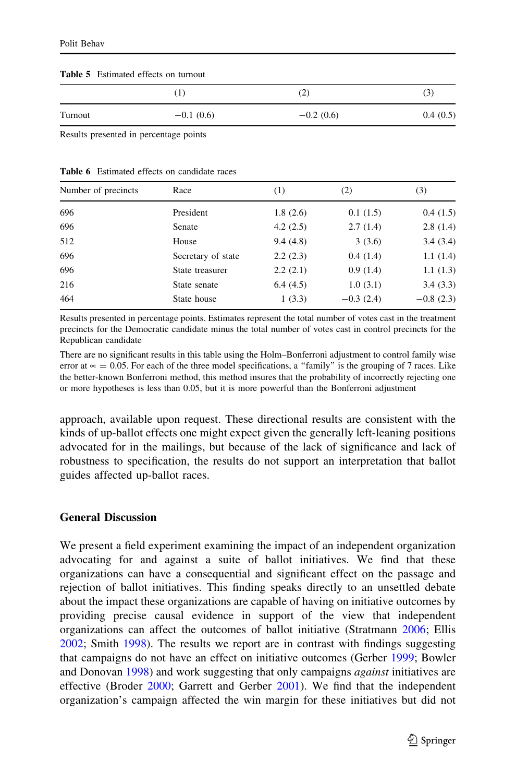#### <span id="page-14-0"></span>Table 5 Estimated effects on turnout

|         | $\perp$     | $\scriptstyle (2)$ | $\mathfrak{g}$ |
|---------|-------------|--------------------|----------------|
| Turnout | $-0.1(0.6)$ | $-0.2(0.6)$        | 0.4(0.5)       |

Results presented in percentage points

| Number of precincts | Race               | (1)      | (2)         | (3)         |
|---------------------|--------------------|----------|-------------|-------------|
| 696                 | President          | 1.8(2.6) | 0.1(1.5)    | 0.4(1.5)    |
| 696                 | Senate             | 4.2(2.5) | 2.7(1.4)    | 2.8(1.4)    |
| 512                 | House              | 9.4(4.8) | 3(3.6)      | 3.4(3.4)    |
| 696                 | Secretary of state | 2.2(2.3) | 0.4(1.4)    | 1.1(1.4)    |
| 696                 | State treasurer    | 2.2(2.1) | 0.9(1.4)    | 1.1(1.3)    |
| 216                 | State senate       | 6.4(4.5) | 1.0(3.1)    | 3.4(3.3)    |
| 464                 | State house        | 1(3.3)   | $-0.3(2.4)$ | $-0.8(2.3)$ |

Results presented in percentage points. Estimates represent the total number of votes cast in the treatment precincts for the Democratic candidate minus the total number of votes cast in control precincts for the Republican candidate

There are no significant results in this table using the Holm–Bonferroni adjustment to control family wise error at  $\approx$  = 0.05. For each of the three model specifications, a "family" is the grouping of 7 races. Like the better-known Bonferroni method, this method insures that the probability of incorrectly rejecting one or more hypotheses is less than 0.05, but it is more powerful than the Bonferroni adjustment

approach, available upon request. These directional results are consistent with the kinds of up-ballot effects one might expect given the generally left-leaning positions advocated for in the mailings, but because of the lack of significance and lack of robustness to specification, the results do not support an interpretation that ballot guides affected up-ballot races.

## General Discussion

We present a field experiment examining the impact of an independent organization advocating for and against a suite of ballot initiatives. We find that these organizations can have a consequential and significant effect on the passage and rejection of ballot initiatives. This finding speaks directly to an unsettled debate about the impact these organizations are capable of having on initiative outcomes by providing precise causal evidence in support of the view that independent organizations can affect the outcomes of ballot initiative (Stratmann [2006;](#page-26-0) Ellis [2002;](#page-25-0) Smith [1998\)](#page-26-0). The results we report are in contrast with findings suggesting that campaigns do not have an effect on initiative outcomes (Gerber [1999;](#page-25-0) Bowler and Donovan [1998](#page-25-0)) and work suggesting that only campaigns *against* initiatives are effective (Broder [2000;](#page-25-0) Garrett and Gerber [2001\)](#page-25-0). We find that the independent organization's campaign affected the win margin for these initiatives but did not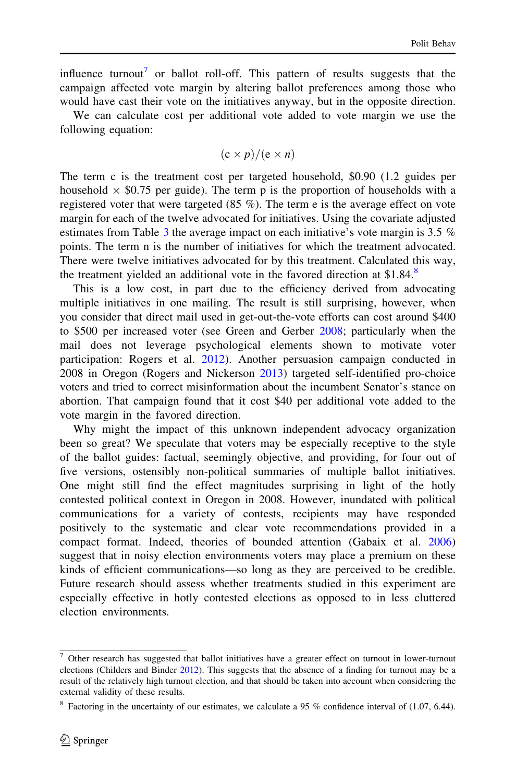influence turnout<sup>7</sup> or ballot roll-off. This pattern of results suggests that the campaign affected vote margin by altering ballot preferences among those who would have cast their vote on the initiatives anyway, but in the opposite direction.

We can calculate cost per additional vote added to vote margin we use the following equation:

$$
(c \times p)/(e \times n)
$$

The term c is the treatment cost per targeted household, \$0.90 (1.2 guides per household  $\times$  \$0.75 per guide). The term p is the proportion of households with a registered voter that were targeted (85 %). The term e is the average effect on vote margin for each of the twelve advocated for initiatives. Using the covariate adjusted estimates from Table [3](#page-11-0) the average impact on each initiative's vote margin is 3.5 % points. The term n is the number of initiatives for which the treatment advocated. There were twelve initiatives advocated for by this treatment. Calculated this way, the treatment yielded an additional vote in the favored direction at  $$1.84$ .<sup>8</sup>

This is a low cost, in part due to the efficiency derived from advocating multiple initiatives in one mailing. The result is still surprising, however, when you consider that direct mail used in get-out-the-vote efforts can cost around \$400 to \$500 per increased voter (see Green and Gerber [2008](#page-25-0); particularly when the mail does not leverage psychological elements shown to motivate voter participation: Rogers et al. [2012\)](#page-26-0). Another persuasion campaign conducted in 2008 in Oregon (Rogers and Nickerson [2013](#page-26-0)) targeted self-identified pro-choice voters and tried to correct misinformation about the incumbent Senator's stance on abortion. That campaign found that it cost \$40 per additional vote added to the vote margin in the favored direction.

Why might the impact of this unknown independent advocacy organization been so great? We speculate that voters may be especially receptive to the style of the ballot guides: factual, seemingly objective, and providing, for four out of five versions, ostensibly non-political summaries of multiple ballot initiatives. One might still find the effect magnitudes surprising in light of the hotly contested political context in Oregon in 2008. However, inundated with political communications for a variety of contests, recipients may have responded positively to the systematic and clear vote recommendations provided in a compact format. Indeed, theories of bounded attention (Gabaix et al. [2006](#page-25-0)) suggest that in noisy election environments voters may place a premium on these kinds of efficient communications—so long as they are perceived to be credible. Future research should assess whether treatments studied in this experiment are especially effective in hotly contested elections as opposed to in less cluttered election environments.

 $7$  Other research has suggested that ballot initiatives have a greater effect on turnout in lower-turnout elections (Childers and Binder [2012](#page-25-0)). This suggests that the absence of a finding for turnout may be a result of the relatively high turnout election, and that should be taken into account when considering the external validity of these results.

 $8$  Factoring in the uncertainty of our estimates, we calculate a 95 % confidence interval of (1.07, 6.44).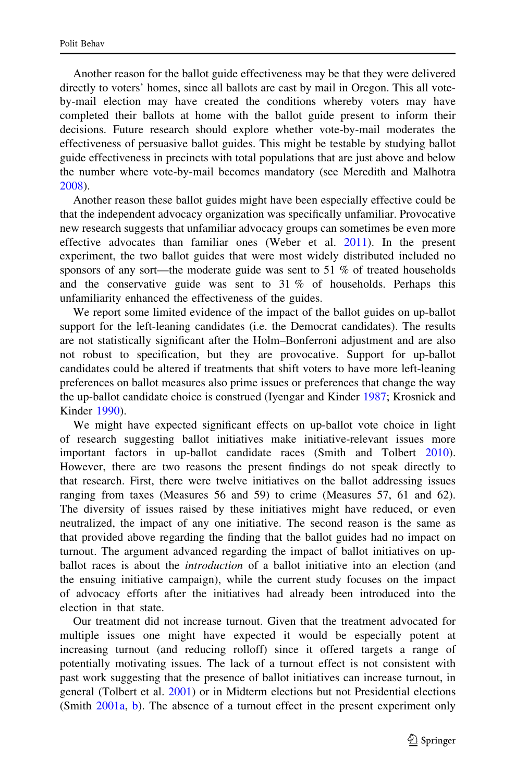Another reason for the ballot guide effectiveness may be that they were delivered directly to voters' homes, since all ballots are cast by mail in Oregon. This all voteby-mail election may have created the conditions whereby voters may have completed their ballots at home with the ballot guide present to inform their decisions. Future research should explore whether vote-by-mail moderates the effectiveness of persuasive ballot guides. This might be testable by studying ballot guide effectiveness in precincts with total populations that are just above and below the number where vote-by-mail becomes mandatory (see Meredith and Malhotra [2008\)](#page-25-0).

Another reason these ballot guides might have been especially effective could be that the independent advocacy organization was specifically unfamiliar. Provocative new research suggests that unfamiliar advocacy groups can sometimes be even more effective advocates than familiar ones (Weber et al. [2011](#page-26-0)). In the present experiment, the two ballot guides that were most widely distributed included no sponsors of any sort—the moderate guide was sent to 51 % of treated households and the conservative guide was sent to  $31\%$  of households. Perhaps this unfamiliarity enhanced the effectiveness of the guides.

We report some limited evidence of the impact of the ballot guides on up-ballot support for the left-leaning candidates (i.e. the Democrat candidates). The results are not statistically significant after the Holm–Bonferroni adjustment and are also not robust to specification, but they are provocative. Support for up-ballot candidates could be altered if treatments that shift voters to have more left-leaning preferences on ballot measures also prime issues or preferences that change the way the up-ballot candidate choice is construed (Iyengar and Kinder [1987](#page-25-0); Krosnick and Kinder [1990](#page-25-0)).

We might have expected significant effects on up-ballot vote choice in light of research suggesting ballot initiatives make initiative-relevant issues more important factors in up-ballot candidate races (Smith and Tolbert [2010\)](#page-26-0). However, there are two reasons the present findings do not speak directly to that research. First, there were twelve initiatives on the ballot addressing issues ranging from taxes (Measures 56 and 59) to crime (Measures 57, 61 and 62). The diversity of issues raised by these initiatives might have reduced, or even neutralized, the impact of any one initiative. The second reason is the same as that provided above regarding the finding that the ballot guides had no impact on turnout. The argument advanced regarding the impact of ballot initiatives on upballot races is about the *introduction* of a ballot initiative into an election (and the ensuing initiative campaign), while the current study focuses on the impact of advocacy efforts after the initiatives had already been introduced into the election in that state.

Our treatment did not increase turnout. Given that the treatment advocated for multiple issues one might have expected it would be especially potent at increasing turnout (and reducing rolloff) since it offered targets a range of potentially motivating issues. The lack of a turnout effect is not consistent with past work suggesting that the presence of ballot initiatives can increase turnout, in general (Tolbert et al. [2001\)](#page-26-0) or in Midterm elections but not Presidential elections (Smith [2001a](#page-26-0), [b\)](#page-26-0). The absence of a turnout effect in the present experiment only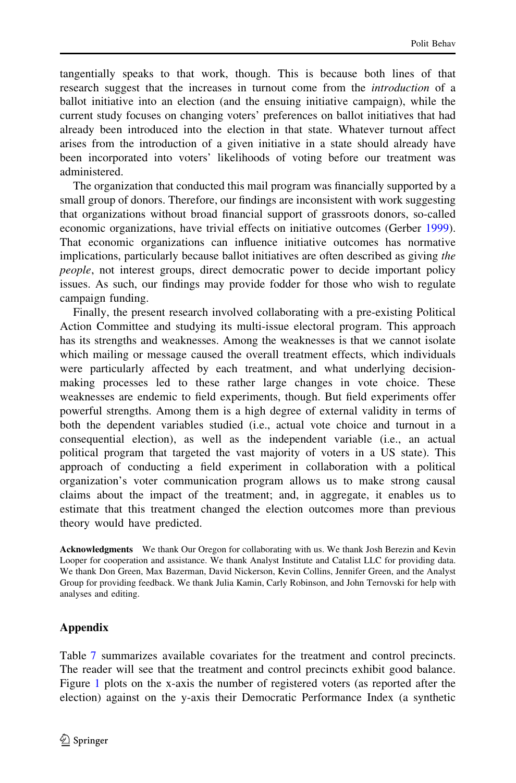<span id="page-17-0"></span>tangentially speaks to that work, though. This is because both lines of that research suggest that the increases in turnout come from the introduction of a ballot initiative into an election (and the ensuing initiative campaign), while the current study focuses on changing voters' preferences on ballot initiatives that had already been introduced into the election in that state. Whatever turnout affect arises from the introduction of a given initiative in a state should already have been incorporated into voters' likelihoods of voting before our treatment was administered.

The organization that conducted this mail program was financially supported by a small group of donors. Therefore, our findings are inconsistent with work suggesting that organizations without broad financial support of grassroots donors, so-called economic organizations, have trivial effects on initiative outcomes (Gerber [1999\)](#page-25-0). That economic organizations can influence initiative outcomes has normative implications, particularly because ballot initiatives are often described as giving the people, not interest groups, direct democratic power to decide important policy issues. As such, our findings may provide fodder for those who wish to regulate campaign funding.

Finally, the present research involved collaborating with a pre-existing Political Action Committee and studying its multi-issue electoral program. This approach has its strengths and weaknesses. Among the weaknesses is that we cannot isolate which mailing or message caused the overall treatment effects, which individuals were particularly affected by each treatment, and what underlying decisionmaking processes led to these rather large changes in vote choice. These weaknesses are endemic to field experiments, though. But field experiments offer powerful strengths. Among them is a high degree of external validity in terms of both the dependent variables studied (i.e., actual vote choice and turnout in a consequential election), as well as the independent variable (i.e., an actual political program that targeted the vast majority of voters in a US state). This approach of conducting a field experiment in collaboration with a political organization's voter communication program allows us to make strong causal claims about the impact of the treatment; and, in aggregate, it enables us to estimate that this treatment changed the election outcomes more than previous theory would have predicted.

Acknowledgments We thank Our Oregon for collaborating with us. We thank Josh Berezin and Kevin Looper for cooperation and assistance. We thank Analyst Institute and Catalist LLC for providing data. We thank Don Green, Max Bazerman, David Nickerson, Kevin Collins, Jennifer Green, and the Analyst Group for providing feedback. We thank Julia Kamin, Carly Robinson, and John Ternovski for help with analyses and editing.

# Appendix

Table [7](#page-18-0) summarizes available covariates for the treatment and control precincts. The reader will see that the treatment and control precincts exhibit good balance. Figure [1](#page-19-0) plots on the x-axis the number of registered voters (as reported after the election) against on the y-axis their Democratic Performance Index (a synthetic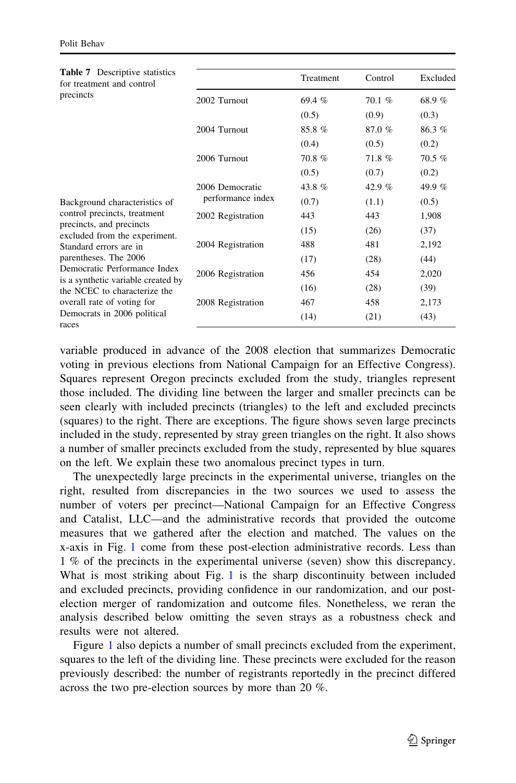<span id="page-18-0"></span>

| <b>Table 7</b> Descriptive statistics<br>for treatment and control |                   | Treatment | Control  | Excluded |
|--------------------------------------------------------------------|-------------------|-----------|----------|----------|
| precincts                                                          | 2002 Turnout      | 69.4%     | 70.1%    | 68.9%    |
|                                                                    |                   | (0.5)     | (0.9)    | (0.3)    |
|                                                                    | 2004 Turnout      | 85.8%     | 87.0%    | 86.3%    |
|                                                                    |                   | (0.4)     | (0.5)    | (0.2)    |
|                                                                    | 2006 Turnout      | 70.8%     | 71.8%    | 70.5%    |
|                                                                    |                   | (0.5)     | (0.7)    | (0.2)    |
|                                                                    | 2006 Democratic   | 43.8%     | 42.9 $%$ | 49.9%    |
| Background characteristics of                                      | performance index | (0.7)     | (1.1)    | (0.5)    |
| control precincts, treatment                                       | 2002 Registration | 443       | 443      | 1,908    |
| precincts, and precincts<br>excluded from the experiment.          |                   | (15)      | (26)     | (37)     |
| Standard errors are in                                             | 2004 Registration | 488       | 481      | 2,192    |
| parentheses. The 2006                                              |                   | (17)      | (28)     | (44)     |
| Democratic Performance Index<br>is a synthetic variable created by | 2006 Registration | 456       | 454      | 2,020    |
| the NCEC to characterize the                                       |                   | (16)      | (28)     | (39)     |
| overall rate of voting for                                         | 2008 Registration | 467       | 458      | 2,173    |
| Democrats in 2006 political<br>races                               |                   | (14)      | (21)     | (43)     |

variable produced in advance of the 2008 election that summarizes Democratic voting in previous elections from National Campaign for an Effective Congress). Squares represent Oregon precincts excluded from the study, triangles represent those included. The dividing line between the larger and smaller precincts can be seen clearly with included precincts (triangles) to the left and excluded precincts (squares) to the right. There are exceptions. The figure shows seven large precincts included in the study, represented by stray green triangles on the right. It also shows a number of smaller precincts excluded from the study, represented by blue squares on the left. We explain these two anomalous precinct types in turn.

The unexpectedly large precincts in the experimental universe, triangles on the right, resulted from discrepancies in the two sources we used to assess the number of voters per precinct—National Campaign for an Effective Congress and Catalist, LLC—and the administrative records that provided the outcome measures that we gathered after the election and matched. The values on the x-axis in Fig. [1](#page-19-0) come from these post-election administrative records. Less than 1 % of the precincts in the experimental universe (seven) show this discrepancy. What is most striking about Fig. [1](#page-19-0) is the sharp discontinuity between included and excluded precincts, providing confidence in our randomization, and our postelection merger of randomization and outcome files. Nonetheless, we reran the analysis described below omitting the seven strays as a robustness check and results were not altered.

Figure [1](#page-19-0) also depicts a number of small precincts excluded from the experiment, squares to the left of the dividing line. These precincts were excluded for the reason previously described: the number of registrants reportedly in the precinct differed across the two pre-election sources by more than 20 %.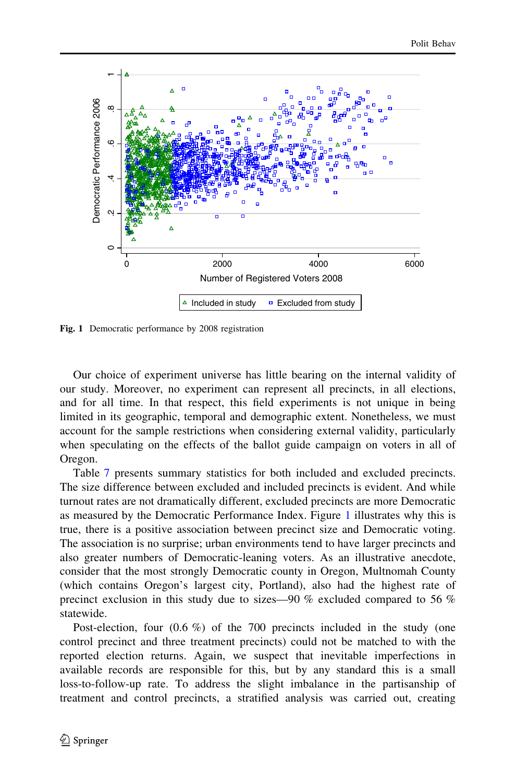<span id="page-19-0"></span>

Fig. 1 Democratic performance by 2008 registration

Our choice of experiment universe has little bearing on the internal validity of our study. Moreover, no experiment can represent all precincts, in all elections, and for all time. In that respect, this field experiments is not unique in being limited in its geographic, temporal and demographic extent. Nonetheless, we must account for the sample restrictions when considering external validity, particularly when speculating on the effects of the ballot guide campaign on voters in all of Oregon.

Table [7](#page-18-0) presents summary statistics for both included and excluded precincts. The size difference between excluded and included precincts is evident. And while turnout rates are not dramatically different, excluded precincts are more Democratic as measured by the Democratic Performance Index. Figure 1 illustrates why this is true, there is a positive association between precinct size and Democratic voting. The association is no surprise; urban environments tend to have larger precincts and also greater numbers of Democratic-leaning voters. As an illustrative anecdote, consider that the most strongly Democratic county in Oregon, Multnomah County (which contains Oregon's largest city, Portland), also had the highest rate of precinct exclusion in this study due to sizes—90 % excluded compared to 56 % statewide.

Post-election, four  $(0.6 \%)$  of the 700 precincts included in the study (one control precinct and three treatment precincts) could not be matched to with the reported election returns. Again, we suspect that inevitable imperfections in available records are responsible for this, but by any standard this is a small loss-to-follow-up rate. To address the slight imbalance in the partisanship of treatment and control precincts, a stratified analysis was carried out, creating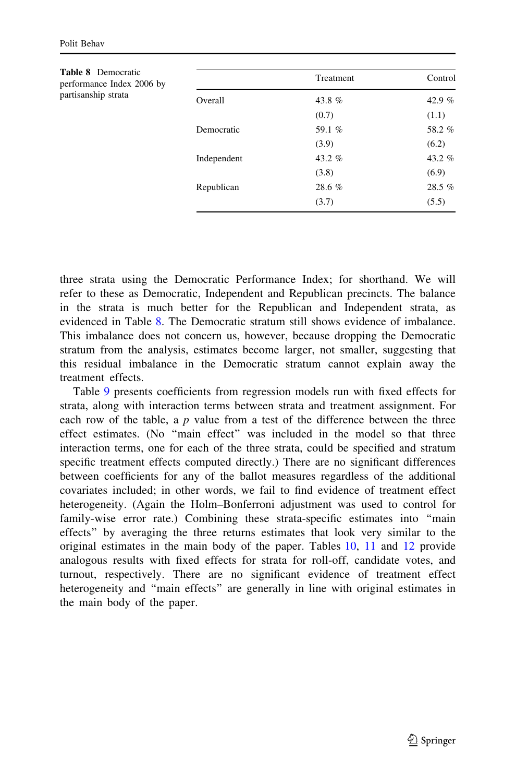| <b>Table 8</b> Democratic<br>performance Index 2006 by |             | Treatment | Control |
|--------------------------------------------------------|-------------|-----------|---------|
| partisanship strata                                    | Overall     | 43.8 %    | 42.9 %  |
|                                                        |             | (0.7)     | (1.1)   |
|                                                        | Democratic  | 59.1 %    | 58.2%   |
|                                                        |             | (3.9)     | (6.2)   |
|                                                        | Independent | 43.2 %    | 43.2 %  |
|                                                        |             | (3.8)     | (6.9)   |
|                                                        | Republican  | 28.6 %    | 28.5 %  |
|                                                        |             | (3.7)     | (5.5)   |

three strata using the Democratic Performance Index; for shorthand. We will refer to these as Democratic, Independent and Republican precincts. The balance in the strata is much better for the Republican and Independent strata, as evidenced in Table 8. The Democratic stratum still shows evidence of imbalance. This imbalance does not concern us, however, because dropping the Democratic stratum from the analysis, estimates become larger, not smaller, suggesting that this residual imbalance in the Democratic stratum cannot explain away the treatment effects.

Table [9](#page-21-0) presents coefficients from regression models run with fixed effects for strata, along with interaction terms between strata and treatment assignment. For each row of the table, a  $p$  value from a test of the difference between the three effect estimates. (No ''main effect'' was included in the model so that three interaction terms, one for each of the three strata, could be specified and stratum specific treatment effects computed directly.) There are no significant differences between coefficients for any of the ballot measures regardless of the additional covariates included; in other words, we fail to find evidence of treatment effect heterogeneity. (Again the Holm–Bonferroni adjustment was used to control for family-wise error rate.) Combining these strata-specific estimates into ''main effects'' by averaging the three returns estimates that look very similar to the original estimates in the main body of the paper. Tables [10,](#page-22-0) [11](#page-23-0) and [12](#page-24-0) provide analogous results with fixed effects for strata for roll-off, candidate votes, and turnout, respectively. There are no significant evidence of treatment effect heterogeneity and ''main effects'' are generally in line with original estimates in the main body of the paper.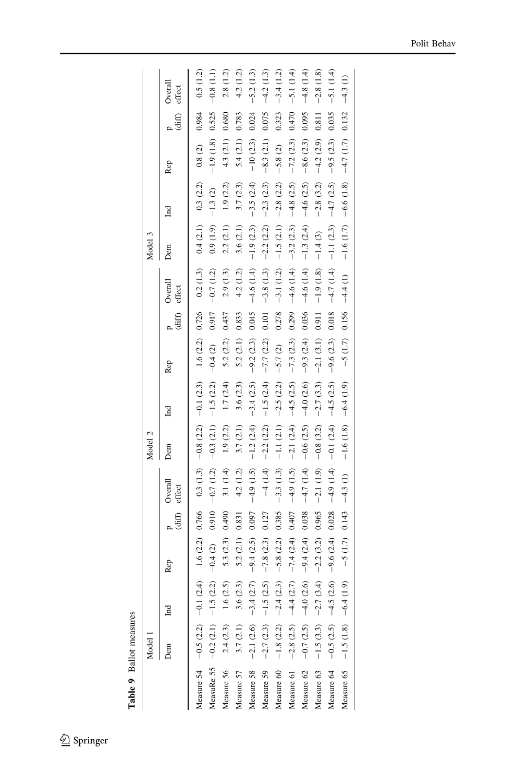Table 9 Ballot measures Table 9 Ballot measures

<span id="page-21-0"></span>

|                                                                                                                                                                                                                              | Model                   |                                        |                                     |        |                       | Model 2     |                                                                |                     |                         |                   | Model 3     |              |                           |                    |                   |
|------------------------------------------------------------------------------------------------------------------------------------------------------------------------------------------------------------------------------|-------------------------|----------------------------------------|-------------------------------------|--------|-----------------------|-------------|----------------------------------------------------------------|---------------------|-------------------------|-------------------|-------------|--------------|---------------------------|--------------------|-------------------|
|                                                                                                                                                                                                                              | Dem                     | $_{\rm nd}$                            | Rep                                 | (diff) | Overall<br>effect     | Dem         | $_{\rm nd}$                                                    | Rep                 | $\frac{P}{\text{diff}}$ | Overall<br>effect | Dem         | $\mathbf{H}$ | Rep                       | $\frac{p}{(diff)}$ | Overall<br>effect |
| Measure 54 $-0.5(2.2)$ $-0.1(2.4)$ 1.6 (2.2)                                                                                                                                                                                 |                         |                                        |                                     | 0.766  |                       |             | $0.3(1.3)$ - $0.8(2.2)$ - $0.1(2.3)$ 1.6 (2.2) 0.726 0.2 (1.3) |                     |                         |                   | 0.4(2.1)    | 0.3(2.2)     | 0.8(2)                    | 0.984              | 0.5(1.2)          |
| MeasuRe 55 $-0.2$ (2.1) $-1.5$ (2.2) $-0.4$ (2)                                                                                                                                                                              |                         |                                        |                                     | 0.910  | $-0.7(1.2) -0.3(2.1)$ |             |                                                                | $-1.5(2.2) -0.4(2)$ | 0.917                   | $-0.7(1.2)$       | 0.9(1.9)    | $-1.3(2)$    | $-1.9(1.8)$               | 0.525              | $-0.8(1.1)$       |
| Measure 56                                                                                                                                                                                                                   |                         | $2.4(2.3)$ 1.6 (2.5)                   | 5.3(2.3)                            | 0.490  | 3.1 (1.4)             | 1.9(2.2)    | 1.7(2.4)                                                       | 5.2(2.2)            | 0.437                   | 2.9(1.3)          | 2.2(2.1)    | 1.9(2.2)     | 4.3(2.1)                  | 0.680              | 2.8(1.2)          |
| Measure 57                                                                                                                                                                                                                   | 3.7(2.1)                | 3.6(2.3)                               | 5.2(2.1)                            | 0.831  | 4.2 (1.2)             | 3.7(2.1)    | 3.6(2.3)                                                       | 5.2(2.1)            | 0.833                   | 4.2 (1.2)         | 3.6 (2.1)   | 3.7(2.3)     | 5.4(2.1)                  | 0.783              | 4.2(1.2)          |
| Measure 58 $-2.1$ (2.6) $-3.4$ (2.7)                                                                                                                                                                                         |                         |                                        | $-9.4(2.5)$                         | 0.097  | $-4.9(1.5)$           | $-1.2(2.4)$ | $-3.4(2.5)$                                                    | $-9.2(2.3)$         | 0.045                   | $-4.6(1.4)$       | $-1.9(2.3)$ | $-3.5(2.4)$  | $-10(2.3)$                | 0.024              | $-5.2(1.3)$       |
| Measure 59                                                                                                                                                                                                                   |                         |                                        | $-2.7(2.3)$ $-1.5(2.5)$ $-7.8(2.3)$ | 0.127  | $-4(1.4)$             | $-2.2(2.2)$ | $-1.5(2.4)$                                                    | $-7.7(2.2)$         | 0.101                   | $-3.8(1.3)$       | $-2.2(2.2)$ | $-2.3(2.3)$  | $-8.3(2.1)$               | 0.075              | $-4.2(1.3)$       |
| Measure 60                                                                                                                                                                                                                   |                         | $-1.8$ (2.2) $-2.4$ (2.3) $-5.8$ (2.2) |                                     | 0.385  | $-3.3(1.3)$           | $-1.1(2.1)$ | $-2.5(2.2)$                                                    | $-5.7(2)$           | 0.278                   | $-3.1(1.2)$       | $-1.5(2.1)$ | $-2.8(2.2)$  | $-5.8(2)$                 | 0.323              | $-3.4(1.2)$       |
| Measure 61                                                                                                                                                                                                                   | $-2.8(2.5)$ $-4.4(2.7)$ |                                        | $-7.4(2.4)$                         | 0.407  |                       |             | $-4.9$ (1.5) $-2.1$ (2.4) $-4.5$ (2.5)                         | $-7.3(2.3)$         | 0.299                   | $-4.6(1.4)$       | $-3.2(2.3)$ |              | $-4.8$ (2.5) $-7.2$ (2.3) | 0.470              | $-5.1(1.4)$       |
| Measure 62 $-0.7(2.5)$ $-4.0(2.6)$ $-9.4(2.4)$                                                                                                                                                                               |                         |                                        |                                     | 0.038  |                       |             | $-4.7(1.4)$ $-0.6(2.5)$ $-4.0(2.6)$                            | $-9.3(2.4)$         | 0.036                   | $-4.6(1.4)$       | $-1.3(2.4)$ |              | $-4.6(2.5) -8.6(2.3)$     | 0.095              | $-4.8(1.4)$       |
| Measure 63                                                                                                                                                                                                                   |                         | $-1.5$ (3.3) $-2.7$ (3.4) $-2.2$ (3.2) |                                     | 0.965  | $-2.1(1.9)$           | $-0.8(3.2)$ | $-2.7(3.3)$                                                    | $-2.1(3.1)$         | 0.911                   | $-1.9(1.8)$       | $-1.4(3)$   | $-2.8(3.2)$  | $-4.2(2.9)$               | 0.811              | $-2.8(1.8)$       |
| Measure 64 - 0.5 (2.5) $-4.5$ (2.6) - 9.6 (2.4)                                                                                                                                                                              |                         |                                        |                                     | 0.028  | $-4.9(1.4)$           |             | $-0.1(2.4)$ $-4.5(2.5)$ $-9.6(2.3)$                            |                     | 0.018                   | $-4.7(1.4)$       | $-1.1(2.3)$ | $-4.7(2.5)$  | $-9.5(2.3)$               | 0.035              | $-5.1(1.4)$       |
| $2510(21)$ $210(21)$ $210(21)$ $210(21)$ $210(21)$ $210(21)$ $210(21)$ $210(21)$ $210(21)$ $210(21)$ $210(21)$ $210(21)$ $210(21)$ $210(21)$ $210(21)$ $210(21)$ $210(21)$ $210(21)$ $210(21)$ $210(21)$ $210(21)$ $210(21)$ |                         |                                        |                                     |        |                       |             |                                                                |                     |                         |                   |             |              |                           |                    | $-4.3(1)$         |
|                                                                                                                                                                                                                              |                         |                                        |                                     |        |                       |             |                                                                |                     |                         |                   |             |              |                           |                    |                   |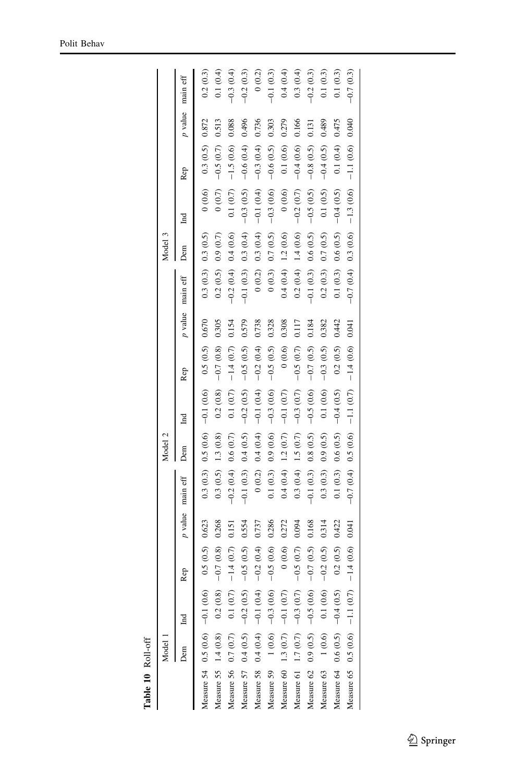Table 10  $\,$  Roll-off Table 10 Roll-off

<span id="page-22-0"></span>

|                                    | Model |                                     |             |                  |                         | Model 2  |             |                                                      |       |                         | Model 3  |             |             |         |             |
|------------------------------------|-------|-------------------------------------|-------------|------------------|-------------------------|----------|-------------|------------------------------------------------------|-------|-------------------------|----------|-------------|-------------|---------|-------------|
|                                    | Jem   | Ĕ                                   | Rep         | p value main eff |                         | Dem      | Ind         | Rep                                                  |       | p value main eff        | Dem      | Ĕ           | Rep         | p value | main eff    |
|                                    |       | Measure 54 $0.5(0.6)$ -0.1 (0.6)    | 0.5(0.5)    | 0.623            |                         |          |             | $0.3(0.3)$ $0.5(0.6)$ $-0.1(0.6)$ $0.5(0.5)$ $0.670$ |       | 0.3(0.3) 0.3(0.5)       |          | 0(0.6)      | 0.3(0.5)    | 0.872   | 0.2(0.3)    |
|                                    |       | Measure 55 $1.4(0.8)$ 0.2 (0.8)     | $-0.7(0.8)$ | 0.268            | $0.3(0.5)$ 1.3 $(0.8)$  |          |             | $0.2(0.8) -0.7(0.8)$                                 | 0.305 | 0.2(0.5) 0.9(0.7)       |          | (0.7)       | $-0.5(0.7)$ | 0.513   | 0.1(0.4)    |
| Measure 56 0.7 (0.7)               |       | 0.1(0.7)                            | $-1.4(0.7)$ | 0.151            | $-0.2(0.4)$             | 0.6(0.7) | 0.1(0.7)    | $-1.4(0.7)$                                          | 0.154 | $-0.2(0.4)$             | 0.4(0.6) | 0.1(0.7)    | $-1.5(0.6)$ | 0.088   | $-0.3(0.4)$ |
|                                    |       | Measure 57 $0.4(0.5)$ -0.2 $(0.5)$  | $-0.5(0.5)$ | 0.554            | $-0.1(0.3)$             | 0.4(0.5) | $-0.2(0.5)$ | $-0.5(0.5)$                                          | 0.579 | $-0.1(0.3)$ 0.3 $(0.4)$ |          | $-0.3(0.5)$ | $-0.6(0.4)$ | 0.496   | $-0.2(0.3)$ |
|                                    |       | Measure 58 $0.4(0.4) -0.1(0.4)$     | $-0.2(0.4)$ | 0.737            | 0(0.2)                  | 0.4(0.4) | $-0.1(0.4)$ | $-0.2(0.4)$                                          | 0.738 | 0(0.2)                  | 0.3(0.4) | $-0.1(0.4)$ | $-0.3(0.4)$ | 0.736   | 0(0.2)      |
|                                    |       | Measure 59 $1(0.6) -0.3(0.6)$       | $-0.5(0.6)$ | 0.286            | 0.1(0.3)                | 0.9(0.6) | $-0.3(0.6)$ | $-0.5(0.5)$                                          | 0.328 | (0.3)                   | 0.7(0.5) | $-0.3(0.6)$ | $-0.6(0.5)$ | 0.303   | $-0.1(0.3)$ |
|                                    |       | Measure 60 1.3 $(0.7)$ -0.1 $(0.7)$ | (0.0)0      | 0.272            | $0.4(0.4)$ 1.2 $(0.7)$  |          | $-0.1(0.7)$ | (0.6)                                                | 0.308 | $0.4(0.4)$ 1.2 $(0.6)$  |          | 0(0.6)      | 0.1(0.6)    | 0.279   | 0.4(0.4)    |
|                                    |       | Measure 61 1.7 (0.7) $-0.3$ (0.7)   | $-0.5(0.7)$ | 0.094            | $0.3(0.4)$ 1.5 $(0.7)$  |          | $-0.3(0.7)$ | $-0.5(0.7)$                                          | 0.117 | $0.2(0.4)$ 1.4 $(0.6)$  |          | $-0.2(0.7)$ | $-0.4(0.6)$ | 0.166   | 0.3(0.4)    |
|                                    |       | Measure 62 0.9 (0.5) $-0.5$ (0.6)   | $-0.7(0.5)$ | 0.168            | $-0.1(0.3)$ 0.8 $(0.5)$ |          | $-0.5(0.6)$ | $-0.7(0.5)$                                          | 0.184 | $-0.1(0.3) 0.6(0.5)$    |          | $-0.5(0.5)$ | $-0.8(0.5)$ | 0.131   | $-0.2(0.3)$ |
| Measure $63 \qquad 1 \ (0.6)$      |       | 0.1(0.6)                            | $-0.2(0.5)$ | 0.314            | 0.3(0.3)                | 0.9(0.5) | 0.1(0.6)    | $-0.3(0.5)$                                          | 0.382 | 0.2(0.3)                | 0.7(0.5) | 0.1(0.5)    | $-0.4(0.5)$ | 0.489   | 0.1(0.3)    |
| Measure 64 0.6 (0.5) $-0.4$ (0.5)  |       |                                     | 0.2(0.5)    | 0.422            | 0.1(0.3) 0.6(0.5)       |          | $-0.4(0.5)$ | 0.2(0.5)                                             | 0.442 | 0.1(0.3) 0.6(0.5)       |          | $-0.4(0.5)$ | 0.1(0.4)    | 0.475   | 0.1(0.3)    |
| Measure 65 $0.5(0.6)$ -1.1 $(0.7)$ |       |                                     | $-1.4(0.6)$ | 0.041            | $-0.7(0.4)$             | 0.5(0.6) | $-1.1(0.7)$ | $-1.4(0.6)$ 0.041                                    |       | $-0.7(0.4)$ 0.3 $(0.6)$ |          | $-1.3(0.6)$ | $-1.1(0.6)$ | 0.040   | $-0.7(0.3)$ |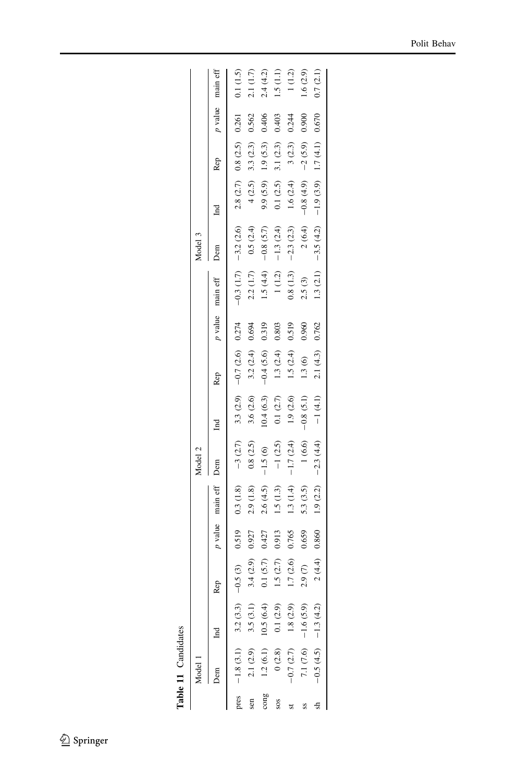Table 11 Candidates Table 11 Candidates

<span id="page-23-0"></span>

| $p$ value main eff<br>0.261<br>0.900<br>0.670<br>0.406<br>0.403<br>0.562<br>0.244<br>1.7(4.1)<br>0.8(2.5)<br>1.9(5.3)<br>$-2(5.9)$<br>3.1 $(2.3)$<br>3(2.3)<br>3.3(2.3)<br>Rep<br>2.8(2.7)<br>$-0.8(4.9)$<br>$-1.9(3.9)$<br>1.6 $(2.4)$<br>9.9(5.9)<br>4(2.5)<br>0.1(2.5)<br>Ind<br>$-0.3$ (1.7) $-3.2$ (2.6)<br>$-0.8$ (5.7)<br>2(6.4)<br>$-2.3(2.3)$<br>0.5(2.4)<br>$-1.3(2.4)$<br>$-3.5(4.2)$<br>Dem<br>1.5(4.4)<br>1.3(2.1)<br>2.2(1.7)<br>$0.8\ (1.3)$<br>$1\ (1.2)$<br>2.5(3)<br>main eff<br>p value<br>3.3 $(2.9)$ -0.7 $(2.6)$ 0.274<br>0.519<br>$-0.4(5.6)$ 0.319<br>0.803<br>0.960<br>0.762<br>0.694<br>2.1(4.3)<br>1.5(2.4)<br>3.2(2.4)<br>1.3(2.4)<br>1.3(6)<br>Rep<br>$-0.8(5.1)$<br>$-1(4.1)$<br>1.9(2.6)<br>10.4(6.3)<br>3.6 $(2.6)$<br>$0.1\ (2.7)$<br>$\mathbb{E}$<br>$-3$ $(2.7)$<br>$-1.7(2.4)$<br>$-2.3(4.4)$<br>0.8(2.5)<br>$-1$ (2.5)<br>1(6.6)<br>$-1.5(6)$<br>Dem<br>0.3(1.8)<br>$p$ value main eff<br>5.3(3.5)<br>1.9(2.2)<br>2.9(1.8)<br>2.6(4.5)<br>1.5(1.3)<br>1.3 $(1.4)$<br>0.519<br>0.860<br>0.659<br>0.427<br>0.913<br>0.927<br>0.765<br>$-0.5(3)$<br>2(4.4)<br>0.1(5.7)<br>1.7(2.6)<br>1.5(2.7)<br>3.4(2.9)<br>2.9(7)<br><b>Rep</b><br>$-1.8$ (3.1) 3.2 (3.3)<br>0.1(2.9)<br>1.8(2.9)<br>7.1 $(7.6)$ -1.6 $(5.9)$<br>10.5(6.4)<br>3.5(3.1)<br>$-0.5(4.5)$ $-1.3(4.2)$<br>2.1(2.9)<br>1.2(6.1)<br>0(2.8)<br>$-0.7(2.7)$<br>$\frac{20}{5}$ | 1odel 1 |  |  | Model 2 |  |  | Model 3 |  |              |
|---------------------------------------------------------------------------------------------------------------------------------------------------------------------------------------------------------------------------------------------------------------------------------------------------------------------------------------------------------------------------------------------------------------------------------------------------------------------------------------------------------------------------------------------------------------------------------------------------------------------------------------------------------------------------------------------------------------------------------------------------------------------------------------------------------------------------------------------------------------------------------------------------------------------------------------------------------------------------------------------------------------------------------------------------------------------------------------------------------------------------------------------------------------------------------------------------------------------------------------------------------------------------------------------------------------------------------------------------------------------------|---------|--|--|---------|--|--|---------|--|--------------|
|                                                                                                                                                                                                                                                                                                                                                                                                                                                                                                                                                                                                                                                                                                                                                                                                                                                                                                                                                                                                                                                                                                                                                                                                                                                                                                                                                                           |         |  |  |         |  |  |         |  |              |
|                                                                                                                                                                                                                                                                                                                                                                                                                                                                                                                                                                                                                                                                                                                                                                                                                                                                                                                                                                                                                                                                                                                                                                                                                                                                                                                                                                           |         |  |  |         |  |  |         |  | 0.1(1.5)     |
|                                                                                                                                                                                                                                                                                                                                                                                                                                                                                                                                                                                                                                                                                                                                                                                                                                                                                                                                                                                                                                                                                                                                                                                                                                                                                                                                                                           |         |  |  |         |  |  |         |  | 2.1(1.7)     |
|                                                                                                                                                                                                                                                                                                                                                                                                                                                                                                                                                                                                                                                                                                                                                                                                                                                                                                                                                                                                                                                                                                                                                                                                                                                                                                                                                                           |         |  |  |         |  |  |         |  | 2.4(4.2)     |
|                                                                                                                                                                                                                                                                                                                                                                                                                                                                                                                                                                                                                                                                                                                                                                                                                                                                                                                                                                                                                                                                                                                                                                                                                                                                                                                                                                           |         |  |  |         |  |  |         |  | $1.5\ (1.1)$ |
|                                                                                                                                                                                                                                                                                                                                                                                                                                                                                                                                                                                                                                                                                                                                                                                                                                                                                                                                                                                                                                                                                                                                                                                                                                                                                                                                                                           |         |  |  |         |  |  |         |  | 1(1.2)       |
|                                                                                                                                                                                                                                                                                                                                                                                                                                                                                                                                                                                                                                                                                                                                                                                                                                                                                                                                                                                                                                                                                                                                                                                                                                                                                                                                                                           |         |  |  |         |  |  |         |  | 1.6(2.9)     |
|                                                                                                                                                                                                                                                                                                                                                                                                                                                                                                                                                                                                                                                                                                                                                                                                                                                                                                                                                                                                                                                                                                                                                                                                                                                                                                                                                                           |         |  |  |         |  |  |         |  | 0.7(2.1)     |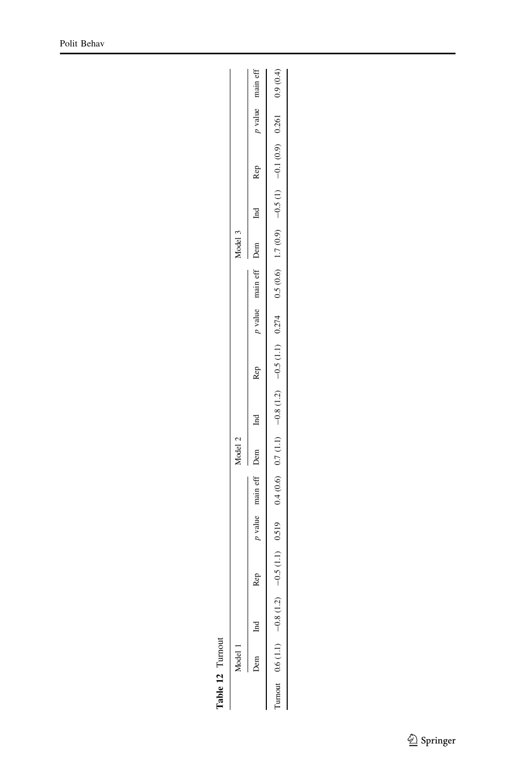| ۳ |
|---|
|   |
|   |
|   |
| ۳ |
|   |
|   |
|   |
|   |
|   |
|   |
|   |
|   |
|   |

<span id="page-24-0"></span>

|         | main eff     | 0.9(0.4)               |
|---------|--------------|------------------------|
|         | 7 value      | 0.261                  |
|         | Rep          | $-0.1(0.9)$            |
|         |              | $-0.5(1)$              |
| Model 3 | Dem          |                        |
|         | main eff     | $0.5(0.6)$ 1.7 $(0.9)$ |
|         | p value      | 0.274                  |
|         | Rep          | $-0.5(1.1)$            |
|         | $\Xi$        | $-0.8(1.2)$            |
| 1odel 2 |              | 0.7(1.1)               |
|         | main eff Dem | 0.4(0.6)               |
|         | value        |                        |
|         | Rep          | $-0.5(1.1)$ 0.519      |
|         |              | $-0.8(1.2)$            |
|         |              | $(1.1)$ 6.0            |
|         |              |                        |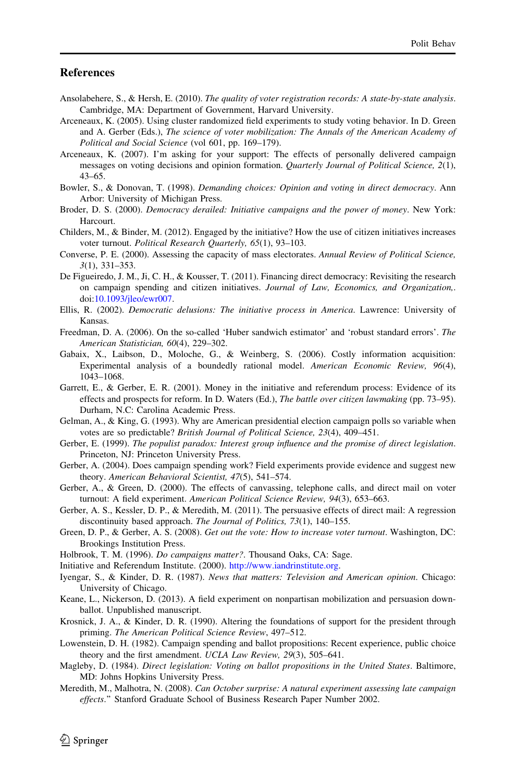#### <span id="page-25-0"></span>References

- Ansolabehere, S., & Hersh, E. (2010). The quality of voter registration records: A state-by-state analysis. Cambridge, MA: Department of Government, Harvard University.
- Arceneaux, K. (2005). Using cluster randomized field experiments to study voting behavior. In D. Green and A. Gerber (Eds.), The science of voter mobilization: The Annals of the American Academy of Political and Social Science (vol 601, pp. 169–179).
- Arceneaux, K. (2007). I'm asking for your support: The effects of personally delivered campaign messages on voting decisions and opinion formation. Quarterly Journal of Political Science, 2(1), 43–65.
- Bowler, S., & Donovan, T. (1998). Demanding choices: Opinion and voting in direct democracy. Ann Arbor: University of Michigan Press.
- Broder, D. S. (2000). Democracy derailed: Initiative campaigns and the power of money. New York: Harcourt.
- Childers, M., & Binder, M. (2012). Engaged by the initiative? How the use of citizen initiatives increases voter turnout. Political Research Quarterly, 65(1), 93–103.
- Converse, P. E. (2000). Assessing the capacity of mass electorates. Annual Review of Political Science, 3(1), 331–353.
- De Figueiredo, J. M., Ji, C. H., & Kousser, T. (2011). Financing direct democracy: Revisiting the research on campaign spending and citizen initiatives. Journal of Law, Economics, and Organization,. doi[:10.1093/jleo/ewr007.](http://dx.doi.org/10.1093/jleo/ewr007)
- Ellis, R. (2002). Democratic delusions: The initiative process in America. Lawrence: University of Kansas.
- Freedman, D. A. (2006). On the so-called 'Huber sandwich estimator' and 'robust standard errors'. The American Statistician, 60(4), 229–302.
- Gabaix, X., Laibson, D., Moloche, G., & Weinberg, S. (2006). Costly information acquisition: Experimental analysis of a boundedly rational model. American Economic Review, 96(4), 1043–1068.
- Garrett, E., & Gerber, E. R. (2001). Money in the initiative and referendum process: Evidence of its effects and prospects for reform. In D. Waters (Ed.), The battle over citizen lawmaking (pp. 73–95). Durham, N.C: Carolina Academic Press.
- Gelman, A., & King, G. (1993). Why are American presidential election campaign polls so variable when votes are so predictable? British Journal of Political Science, 23(4), 409–451.
- Gerber, E. (1999). The populist paradox: Interest group influence and the promise of direct legislation. Princeton, NJ: Princeton University Press.
- Gerber, A. (2004). Does campaign spending work? Field experiments provide evidence and suggest new theory. American Behavioral Scientist, 47(5), 541–574.
- Gerber, A., & Green, D. (2000). The effects of canvassing, telephone calls, and direct mail on voter turnout: A field experiment. American Political Science Review, 94(3), 653–663.
- Gerber, A. S., Kessler, D. P., & Meredith, M. (2011). The persuasive effects of direct mail: A regression discontinuity based approach. The Journal of Politics, 73(1), 140–155.
- Green, D. P., & Gerber, A. S. (2008). Get out the vote: How to increase voter turnout. Washington, DC: Brookings Institution Press.
- Holbrook, T. M. (1996). Do campaigns matter?. Thousand Oaks, CA: Sage.
- Initiative and Referendum Institute. (2000). <http://www.iandrinstitute.org>.
- Iyengar, S., & Kinder, D. R. (1987). News that matters: Television and American opinion. Chicago: University of Chicago.
- Keane, L., Nickerson, D. (2013). A field experiment on nonpartisan mobilization and persuasion downballot. Unpublished manuscript.
- Krosnick, J. A., & Kinder, D. R. (1990). Altering the foundations of support for the president through priming. The American Political Science Review, 497–512.
- Lowenstein, D. H. (1982). Campaign spending and ballot propositions: Recent experience, public choice theory and the first amendment. UCLA Law Review, 29(3), 505–641.
- Magleby, D. (1984). Direct legislation: Voting on ballot propositions in the United States. Baltimore, MD: Johns Hopkins University Press.
- Meredith, M., Malhotra, N. (2008). Can October surprise: A natural experiment assessing late campaign effects.'' Stanford Graduate School of Business Research Paper Number 2002.